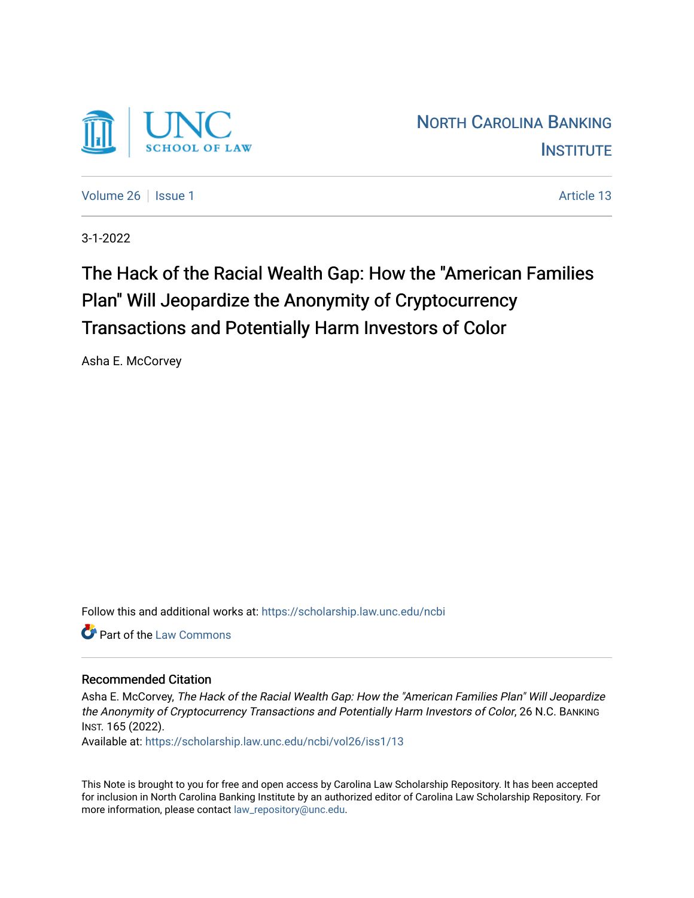

[Volume 26](https://scholarship.law.unc.edu/ncbi/vol26) | [Issue 1](https://scholarship.law.unc.edu/ncbi/vol26/iss1) Article 13

3-1-2022

# The Hack of the Racial Wealth Gap: How the "American Families Plan" Will Jeopardize the Anonymity of Cryptocurrency Transactions and Potentially Harm Investors of Color

Asha E. McCorvey

Follow this and additional works at: [https://scholarship.law.unc.edu/ncbi](https://scholarship.law.unc.edu/ncbi?utm_source=scholarship.law.unc.edu%2Fncbi%2Fvol26%2Fiss1%2F13&utm_medium=PDF&utm_campaign=PDFCoverPages)

**C** Part of the [Law Commons](https://network.bepress.com/hgg/discipline/578?utm_source=scholarship.law.unc.edu%2Fncbi%2Fvol26%2Fiss1%2F13&utm_medium=PDF&utm_campaign=PDFCoverPages)

## Recommended Citation

Asha E. McCorvey, The Hack of the Racial Wealth Gap: How the "American Families Plan" Will Jeopardize the Anonymity of Cryptocurrency Transactions and Potentially Harm Investors of Color, 26 N.C. BANKING INST. 165 (2022).

Available at: [https://scholarship.law.unc.edu/ncbi/vol26/iss1/13](https://scholarship.law.unc.edu/ncbi/vol26/iss1/13?utm_source=scholarship.law.unc.edu%2Fncbi%2Fvol26%2Fiss1%2F13&utm_medium=PDF&utm_campaign=PDFCoverPages) 

This Note is brought to you for free and open access by Carolina Law Scholarship Repository. It has been accepted for inclusion in North Carolina Banking Institute by an authorized editor of Carolina Law Scholarship Repository. For more information, please contact [law\\_repository@unc.edu](mailto:law_repository@unc.edu).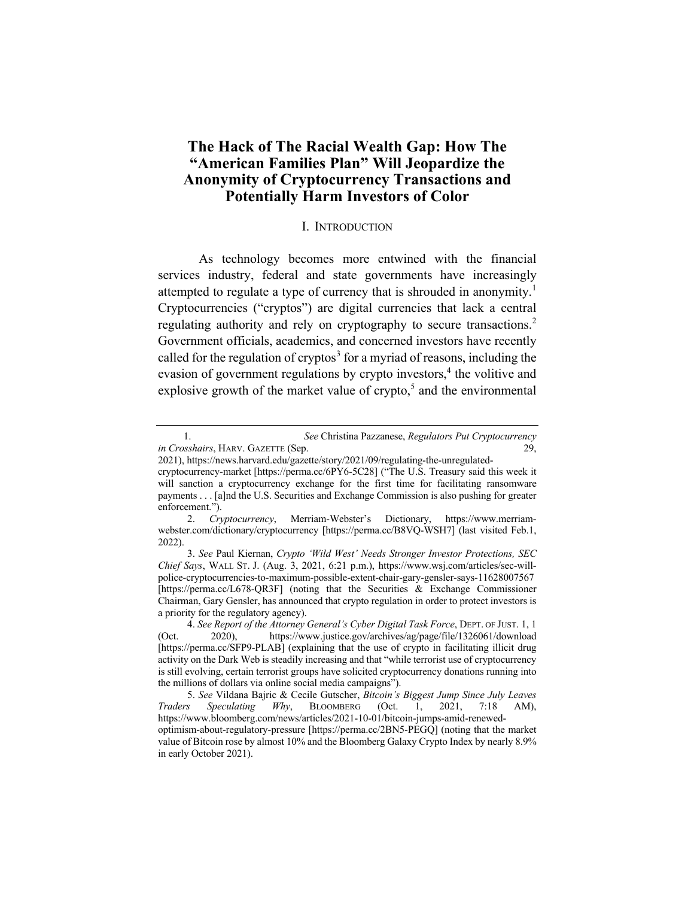# **The Hack of The Racial Wealth Gap: How The "American Families Plan" Will Jeopardize the Anonymity of Cryptocurrency Transactions and Potentially Harm Investors of Color**

#### I. INTRODUCTION

As technology becomes more entwined with the financial services industry, federal and state governments have increasingly attempted to regulate a type of currency that is shrouded in anonymity.<sup>1</sup> Cryptocurrencies ("cryptos") are digital currencies that lack a central regulating authority and rely on cryptography to secure transactions.<sup>2</sup> Government officials, academics, and concerned investors have recently called for the regulation of cryptos<sup>3</sup> for a myriad of reasons, including the evasion of government regulations by crypto investors, <sup>4</sup> the volitive and explosive growth of the market value of crypto,<sup>5</sup> and the environmental

 <sup>1.</sup> *See* Christina Pazzanese, *Regulators Put Cryptocurrency in Crosshairs*, HARV. GAZETTE (Sep. 29,

<sup>2021),</sup> https://news.harvard.edu/gazette/story/2021/09/regulating-the-unregulated-

cryptocurrency-market [https://perma.cc/6PY6-5C28] ("The U.S. Treasury said this week it will sanction a cryptocurrency exchange for the first time for facilitating ransomware payments . . . [a]nd the U.S. Securities and Exchange Commission is also pushing for greater enforcement.").

<sup>2.</sup> *Cryptocurrency*, Merriam-Webster's Dictionary, https://www.merriamwebster.com/dictionary/cryptocurrency [https://perma.cc/B8VQ-WSH7] (last visited Feb.1, 2022).

<sup>3.</sup> *See* Paul Kiernan, *Crypto 'Wild West' Needs Stronger Investor Protections, SEC Chief Says*, WALL ST. J. (Aug. 3, 2021, 6:21 p.m.), https://www.wsj.com/articles/sec-willpolice-cryptocurrencies-to-maximum-possible-extent-chair-gary-gensler-says-11628007567 [https://perma.cc/L678-QR3F] (noting that the Securities & Exchange Commissioner Chairman, Gary Gensler, has announced that crypto regulation in order to protect investors is a priority for the regulatory agency).

<sup>4.</sup> *See Report of the Attorney General's Cyber Digital Task Force*, DEPT. OF JUST. 1, 1 (Oct. 2020), https://www.justice.gov/archives/ag/page/file/1326061/download [https://perma.cc/SFP9-PLAB] (explaining that the use of crypto in facilitating illicit drug activity on the Dark Web is steadily increasing and that "while terrorist use of cryptocurrency is still evolving, certain terrorist groups have solicited cryptocurrency donations running into the millions of dollars via online social media campaigns").

<sup>5.</sup> *See* Vildana Bajric & Cecile Gutscher, *Bitcoin's Biggest Jump Since July Leaves Traders Speculating Why*, BLOOMBERG (Oct. 1, 2021, 7:18 AM), https://www.bloomberg.com/news/articles/2021-10-01/bitcoin-jumps-amid-renewedoptimism-about-regulatory-pressure [https://perma.cc/2BN5-PEGQ] (noting that the market value of Bitcoin rose by almost 10% and the Bloomberg Galaxy Crypto Index by nearly 8.9% in early October 2021).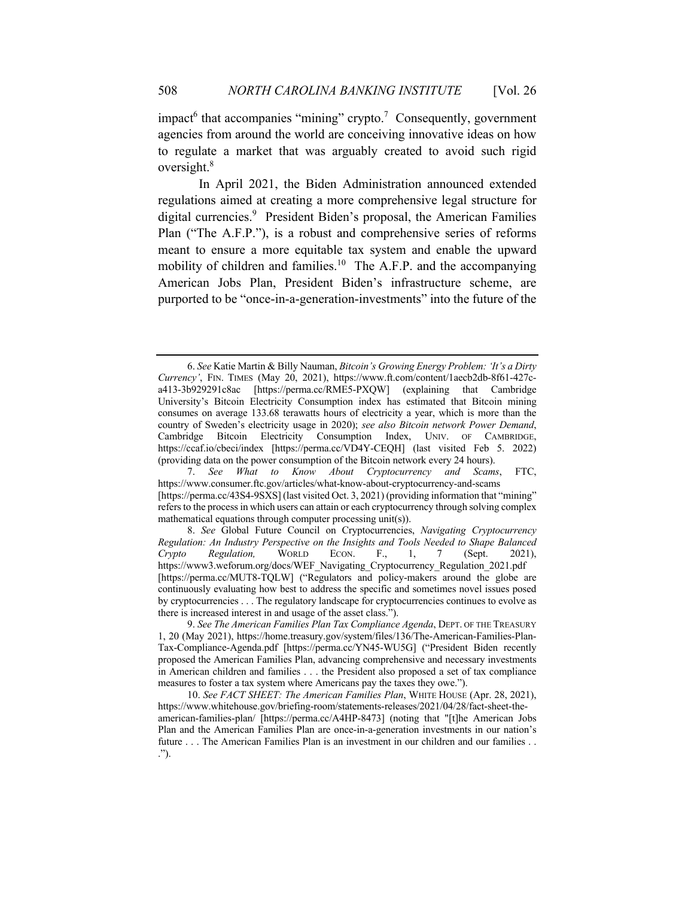impact<sup>6</sup> that accompanies "mining" crypto.<sup>7</sup> Consequently, government agencies from around the world are conceiving innovative ideas on how to regulate a market that was arguably created to avoid such rigid oversight. 8

In April 2021, the Biden Administration announced extended regulations aimed at creating a more comprehensive legal structure for digital currencies.<sup>9</sup> President Biden's proposal, the American Families Plan ("The A.F.P."), is a robust and comprehensive series of reforms meant to ensure a more equitable tax system and enable the upward mobility of children and families.<sup>10</sup> The A.F.P. and the accompanying American Jobs Plan, President Biden's infrastructure scheme, are purported to be "once-in-a-generation-investments" into the future of the

<sup>6.</sup> *See* Katie Martin & Billy Nauman, *Bitcoin's Growing Energy Problem: 'It's a Dirty Currency'*, FIN. TIMES (May 20, 2021), https://www.ft.com/content/1aecb2db-8f61-427ca413-3b929291c8ac [https://perma.cc/RME5-PXQW] (explaining that Cambridge University's Bitcoin Electricity Consumption index has estimated that Bitcoin mining consumes on average 133.68 terawatts hours of electricity a year, which is more than the country of Sweden's electricity usage in 2020); *see also Bitcoin network Power Demand*, Cambridge Bitcoin Electricity Consumption Index, UNIV. OF CAMBRIDGE, https://ccaf.io/cbeci/index [https://perma.cc/VD4Y-CEQH] (last visited Feb 5. 2022) (providing data on the power consumption of the Bitcoin network every 24 hours).

<sup>7.</sup> *See What to Know About Cryptocurrency and Scams*, FTC, https://www.consumer.ftc.gov/articles/what-know-about-cryptocurrency-and-scams [https://perma.cc/43S4-9SXS] (last visited Oct. 3, 2021) (providing information that "mining" refers to the process in which users can attain or each cryptocurrency through solving complex mathematical equations through computer processing unit(s)).

<sup>8.</sup> *See* Global Future Council on Cryptocurrencies, *Navigating Cryptocurrency Regulation: An Industry Perspective on the Insights and Tools Needed to Shape Balanced Crypto Regulation,* WORLD ECON. F., 1, 7 (Sept. 2021), https://www3.weforum.org/docs/WEF\_Navigating\_Cryptocurrency\_Regulation\_2021.pdf [https://perma.cc/MUT8-TQLW] ("Regulators and policy-makers around the globe are continuously evaluating how best to address the specific and sometimes novel issues posed by cryptocurrencies . . . The regulatory landscape for cryptocurrencies continues to evolve as there is increased interest in and usage of the asset class.").

<sup>9.</sup> *See The American Families Plan Tax Compliance Agenda*, DEPT. OF THE TREASURY 1, 20 (May 2021), https://home.treasury.gov/system/files/136/The-American-Families-Plan-Tax-Compliance-Agenda.pdf [https://perma.cc/YN45-WU5G] ("President Biden recently proposed the American Families Plan, advancing comprehensive and necessary investments in American children and families . . . the President also proposed a set of tax compliance measures to foster a tax system where Americans pay the taxes they owe.").

<sup>10.</sup> *See FACT SHEET: The American Families Plan*, WHITE HOUSE (Apr. 28, 2021), https://www.whitehouse.gov/briefing-room/statements-releases/2021/04/28/fact-sheet-theamerican-families-plan/ [https://perma.cc/A4HP-8473] (noting that "[t]he American Jobs Plan and the American Families Plan are once-in-a-generation investments in our nation's future . . . The American Families Plan is an investment in our children and our families . . .").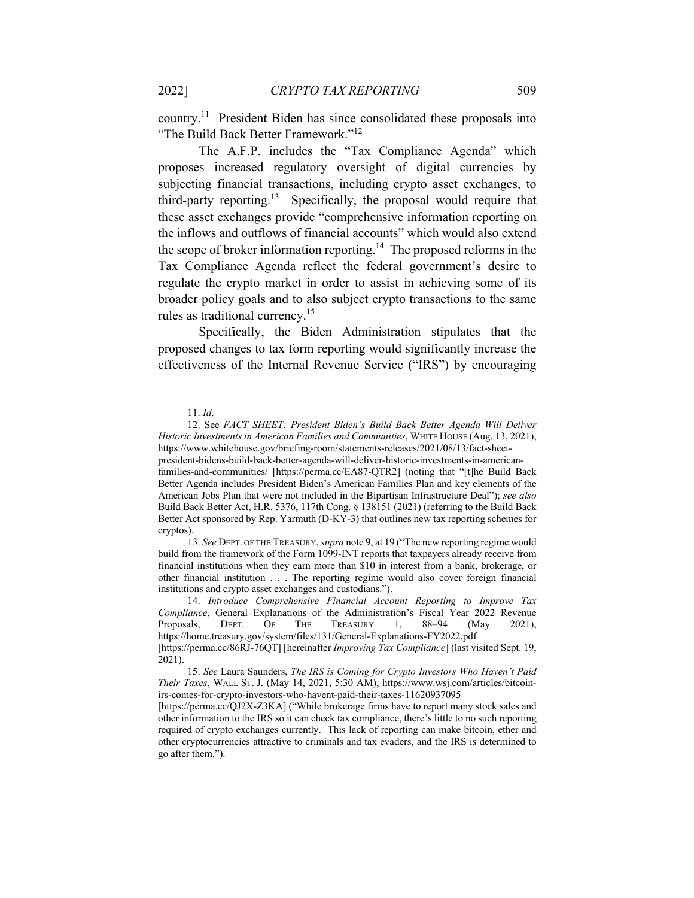country.11 President Biden has since consolidated these proposals into "The Build Back Better Framework."<sup>12</sup>

The A.F.P. includes the "Tax Compliance Agenda" which proposes increased regulatory oversight of digital currencies by subjecting financial transactions, including crypto asset exchanges, to third-party reporting.<sup>13</sup> Specifically, the proposal would require that these asset exchanges provide "comprehensive information reporting on the inflows and outflows of financial accounts" which would also extend the scope of broker information reporting.<sup>14</sup> The proposed reforms in the Tax Compliance Agenda reflect the federal government's desire to regulate the crypto market in order to assist in achieving some of its broader policy goals and to also subject crypto transactions to the same rules as traditional currency.<sup>15</sup>

Specifically, the Biden Administration stipulates that the proposed changes to tax form reporting would significantly increase the effectiveness of the Internal Revenue Service ("IRS") by encouraging

<sup>11.</sup> *Id*.

<sup>12.</sup> See *FACT SHEET: President Biden's Build Back Better Agenda Will Deliver Historic Investments in American Families and Communities*, WHITE HOUSE (Aug. 13, 2021), https://www.whitehouse.gov/briefing-room/statements-releases/2021/08/13/fact-sheetpresident-bidens-build-back-better-agenda-will-deliver-historic-investments-in-americanfamilies-and-communities/ [https://perma.cc/EA87-QTR2] (noting that "[t]he Build Back Better Agenda includes President Biden's American Families Plan and key elements of the American Jobs Plan that were not included in the Bipartisan Infrastructure Deal"); *see also*  Build Back Better Act, H.R. 5376, 117th Cong. § 138151 (2021) (referring to the Build Back Better Act sponsored by Rep. Yarmuth (D-KY-3) that outlines new tax reporting schemes for cryptos).

<sup>13.</sup> *See* DEPT. OF THE TREASURY, *supra* note 9, at 19 ("The new reporting regime would build from the framework of the Form 1099-INT reports that taxpayers already receive from financial institutions when they earn more than \$10 in interest from a bank, brokerage, or other financial institution . . . The reporting regime would also cover foreign financial institutions and crypto asset exchanges and custodians.").

<sup>14.</sup> *Introduce Comprehensive Financial Account Reporting to Improve Tax Compliance*, General Explanations of the Administration's Fiscal Year 2022 Revenue<br>Proposals, DEPT. OF THE TREASURY 1, 88–94 (May 2021), Proposals, DEPT. OF THE TREASURY 1, 88-94 (May 2021), https://home.treasury.gov/system/files/131/General-Explanations-FY2022.pdf

<sup>[</sup>https://perma.cc/86RJ-76QT] [hereinafter *Improving Tax Compliance*] (last visited Sept. 19, 2021).

<sup>15.</sup> *See* Laura Saunders, *The IRS is Coming for Crypto Investors Who Haven't Paid Their Taxes*, WALL ST. J. (May 14, 2021, 5:30 AM), https://www.wsj.com/articles/bitcoinirs-comes-for-crypto-investors-who-havent-paid-their-taxes-11620937095

<sup>[</sup>https://perma.cc/QJ2X-Z3KA] ("While brokerage firms have to report many stock sales and other information to the IRS so it can check tax compliance, there's little to no such reporting required of crypto exchanges currently. This lack of reporting can make bitcoin, ether and other cryptocurrencies attractive to criminals and tax evaders, and the IRS is determined to go after them.").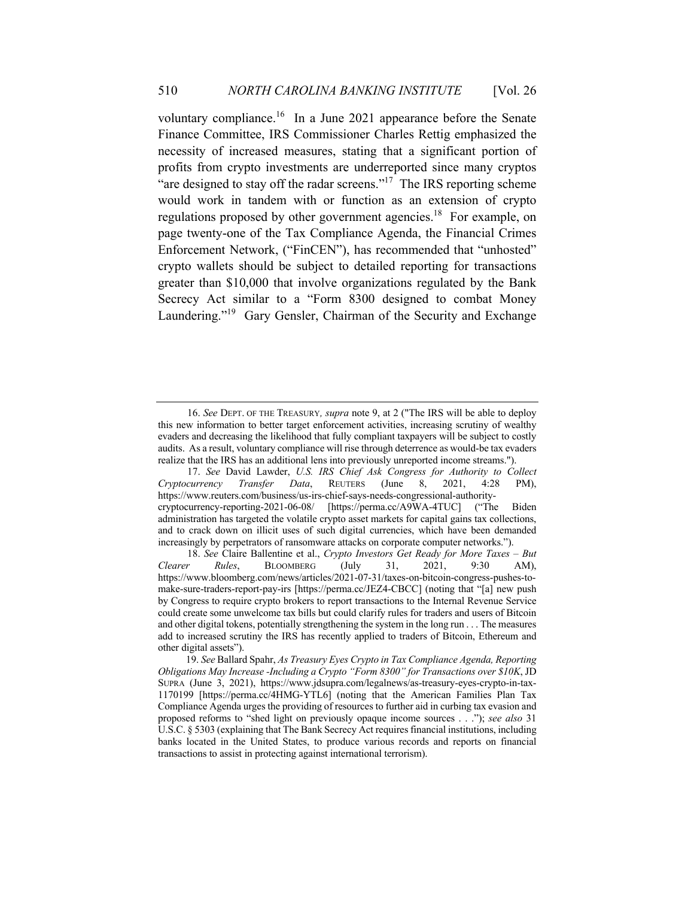voluntary compliance.<sup>16</sup> In a June 2021 appearance before the Senate Finance Committee, IRS Commissioner Charles Rettig emphasized the necessity of increased measures, stating that a significant portion of profits from crypto investments are underreported since many cryptos "are designed to stay off the radar screens."<sup>17</sup> The IRS reporting scheme would work in tandem with or function as an extension of crypto regulations proposed by other government agencies.<sup>18</sup> For example, on page twenty-one of the Tax Compliance Agenda, the Financial Crimes Enforcement Network, ("FinCEN"), has recommended that "unhosted" crypto wallets should be subject to detailed reporting for transactions greater than \$10,000 that involve organizations regulated by the Bank Secrecy Act similar to a "Form 8300 designed to combat Money Laundering."<sup>19</sup> Gary Gensler, Chairman of the Security and Exchange

<sup>16.</sup> *See* DEPT. OF THE TREASURY*, supra* note 9, at 2 ("The IRS will be able to deploy this new information to better target enforcement activities, increasing scrutiny of wealthy evaders and decreasing the likelihood that fully compliant taxpayers will be subject to costly audits. As a result, voluntary compliance will rise through deterrence as would-be tax evaders realize that the IRS has an additional lens into previously unreported income streams.").

<sup>17.</sup> *See* David Lawder, *U.S. IRS Chief Ask Congress for Authority to Collect Cryptocurrency Transfer Data*, REUTERS (June 8, 2021, 4:28 PM), https://www.reuters.com/business/us-irs-chief-says-needs-congressional-authoritycryptocurrency-reporting-2021-06-08/ [https://perma.cc/A9WA-4TUC] ("The Biden administration has targeted the volatile crypto asset markets for capital gains tax collections, and to crack down on illicit uses of such digital currencies, which have been demanded increasingly by perpetrators of ransomware attacks on corporate computer networks.").

<sup>18.</sup> *See* Claire Ballentine et al., *Crypto Investors Get Ready for More Taxes – But Clearer Rules*, BLOOMBERG (July 31, 2021, 9:30 AM), https://www.bloomberg.com/news/articles/2021-07-31/taxes-on-bitcoin-congress-pushes-tomake-sure-traders-report-pay-irs [https://perma.cc/JEZ4-CBCC] (noting that "[a] new push by Congress to require crypto brokers to report transactions to the Internal Revenue Service could create some unwelcome tax bills but could clarify rules for traders and users of Bitcoin and other digital tokens, potentially strengthening the system in the long run . . . The measures add to increased scrutiny the IRS has recently applied to traders of Bitcoin, Ethereum and other digital assets").

 <sup>19.</sup> *See* Ballard Spahr, *As Treasury Eyes Crypto in Tax Compliance Agenda, Reporting Obligations May Increase -Including a Crypto "Form 8300" for Transactions over \$10K*, JD SUPRA (June 3, 2021), https://www.jdsupra.com/legalnews/as-treasury-eyes-crypto-in-tax-1170199 [https://perma.cc/4HMG-YTL6] (noting that the American Families Plan Tax Compliance Agenda urges the providing of resources to further aid in curbing tax evasion and proposed reforms to "shed light on previously opaque income sources . . ."); *see also* 31 U.S.C. § 5303 (explaining that The Bank Secrecy Act requires financial institutions, including banks located in the United States, to produce various records and reports on financial transactions to assist in protecting against international terrorism).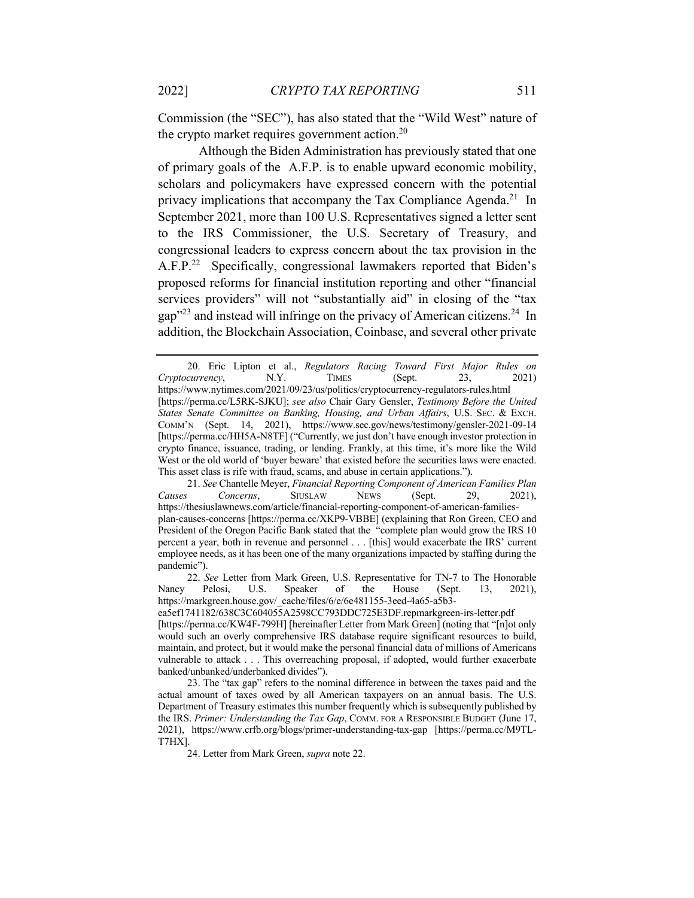Commission (the "SEC"), has also stated that the "Wild West" nature of the crypto market requires government action. $20$ 

Although the Biden Administration has previously stated that one of primary goals of the A.F.P. is to enable upward economic mobility, scholars and policymakers have expressed concern with the potential privacy implications that accompany the Tax Compliance Agenda.<sup>21</sup> In September 2021, more than 100 U.S. Representatives signed a letter sent to the IRS Commissioner, the U.S. Secretary of Treasury, and congressional leaders to express concern about the tax provision in the A.F.P.<sup>22</sup> Specifically, congressional lawmakers reported that Biden's proposed reforms for financial institution reporting and other "financial services providers" will not "substantially aid" in closing of the "tax gap<sup>323</sup> and instead will infringe on the privacy of American citizens.<sup>24</sup> In addition, the Blockchain Association, Coinbase, and several other private

21. *See* Chantelle Meyer, *Financial Reporting Component of American Families Plan Causes Concerns*, SIUSLAW NEWS (Sept. 29, 2021), https://thesiuslawnews.com/article/financial-reporting-component-of-american-familiesplan-causes-concerns [https://perma.cc/XKP9-VBBE] (explaining that Ron Green, CEO and President of the Oregon Pacific Bank stated that the "complete plan would grow the IRS 10 percent a year, both in revenue and personnel . . . [this] would exacerbate the IRS' current employee needs, as it has been one of the many organizations impacted by staffing during the pandemic").

24. Letter from Mark Green, *supra* note 22.

<sup>20.</sup> Eric Lipton et al., *Regulators Racing Toward First Major Rules on Cryptocurrency*, N.Y. TIMES (Sept. 23, 2021) https://www.nytimes.com/2021/09/23/us/politics/cryptocurrency-regulators-rules.html [https://perma.cc/L5RK-SJKU]; *see also* Chair Gary Gensler, *Testimony Before the United States Senate Committee on Banking, Housing, and Urban Affairs*, U.S. SEC. & EXCH. COMM'N (Sept. 14, 2021), https://www.sec.gov/news/testimony/gensler-2021-09-14 [https://perma.cc/HH5A-N8TF] ("Currently, we just don't have enough investor protection in crypto finance, issuance, trading, or lending. Frankly, at this time, it's more like the Wild West or the old world of 'buyer beware' that existed before the securities laws were enacted. This asset class is rife with fraud, scams, and abuse in certain applications.").

<sup>22.</sup> *See* Letter from Mark Green, U.S. Representative for TN-7 to The Honorable Nancy Pelosi, U.S. Speaker of the House (Sept. 13, 2021), https://markgreen.house.gov/\_cache/files/6/e/6e481155-3eed-4a65-a5b3-

ea5ef1741182/638C3C604055A2598CC793DDC725E3DF.repmarkgreen-irs-letter.pdf

<sup>[</sup>https://perma.cc/KW4F-799H] [hereinafter Letter from Mark Green] (noting that "[n]ot only would such an overly comprehensive IRS database require significant resources to build, maintain, and protect, but it would make the personal financial data of millions of Americans vulnerable to attack . . . This overreaching proposal, if adopted, would further exacerbate banked/unbanked/underbanked divides").

<sup>23.</sup> The "tax gap" refers to the nominal difference in between the taxes paid and the actual amount of taxes owed by all American taxpayers on an annual basis. The U.S. Department of Treasury estimates this number frequently which is subsequently published by the IRS. *Primer: Understanding the Tax Gap*, COMM. FOR A RESPONSIBLE BUDGET (June 17, 2021), https://www.crfb.org/blogs/primer-understanding-tax-gap [https://perma.cc/M9TL-T7HX].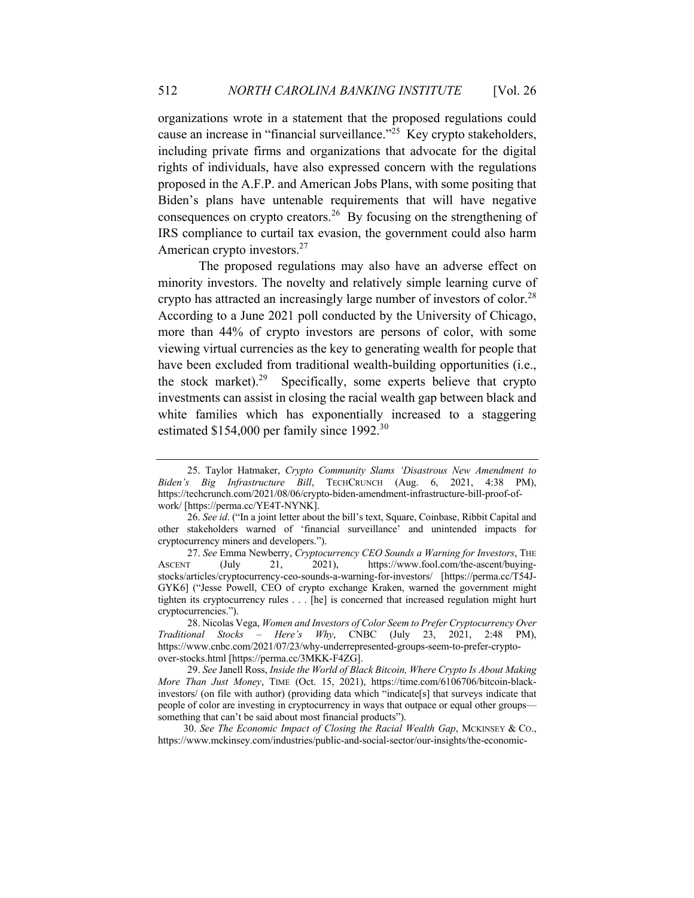organizations wrote in a statement that the proposed regulations could cause an increase in "financial surveillance."<sup>25</sup> Key crypto stakeholders, including private firms and organizations that advocate for the digital rights of individuals, have also expressed concern with the regulations proposed in the A.F.P. and American Jobs Plans, with some positing that Biden's plans have untenable requirements that will have negative consequences on crypto creators.<sup>26</sup> By focusing on the strengthening of IRS compliance to curtail tax evasion, the government could also harm American crypto investors.<sup>27</sup>

The proposed regulations may also have an adverse effect on minority investors. The novelty and relatively simple learning curve of crypto has attracted an increasingly large number of investors of color.<sup>28</sup> According to a June 2021 poll conducted by the University of Chicago, more than 44% of crypto investors are persons of color, with some viewing virtual currencies as the key to generating wealth for people that have been excluded from traditional wealth-building opportunities (i.e., the stock market).<sup>29</sup> Specifically, some experts believe that crypto investments can assist in closing the racial wealth gap between black and white families which has exponentially increased to a staggering estimated \$154,000 per family since 1992.<sup>30</sup>

 30. *See The Economic Impact of Closing the Racial Wealth Gap*, MCKINSEY & CO., https://www.mckinsey.com/industries/public-and-social-sector/our-insights/the-economic-

<sup>25.</sup> Taylor Hatmaker, *Crypto Community Slams 'Disastrous New Amendment to Biden's Big Infrastructure Bill*, TECHCRUNCH (Aug. 6, 2021, 4:38 PM), https://techcrunch.com/2021/08/06/crypto-biden-amendment-infrastructure-bill-proof-ofwork/ [https://perma.cc/YE4T-NYNK].

<sup>26.</sup> *See id*. ("In a joint letter about the bill's text, Square, Coinbase, Ribbit Capital and other stakeholders warned of 'financial surveillance' and unintended impacts for cryptocurrency miners and developers.").

<sup>27.</sup> *See* Emma Newberry, *Cryptocurrency CEO Sounds a Warning for Investors*, THE ASCENT (July 21, 2021), https://www.fool.com/the-ascent/buyingstocks/articles/cryptocurrency-ceo-sounds-a-warning-for-investors/ [https://perma.cc/T54J-GYK6] ("Jesse Powell, CEO of crypto exchange Kraken, warned the government might tighten its cryptocurrency rules . . . [he] is concerned that increased regulation might hurt cryptocurrencies.").

<sup>28.</sup> Nicolas Vega, *Women and Investors of Color Seem to Prefer Cryptocurrency Over Traditional Stocks – Here's Why*, CNBC (July 23, 2021, 2:48 PM), https://www.cnbc.com/2021/07/23/why-underrepresented-groups-seem-to-prefer-cryptoover-stocks.html [https://perma.cc/3MKK-F4ZG].

<sup>29.</sup> *See* Janell Ross, *Inside the World of Black Bitcoin, Where Crypto Is About Making More Than Just Money*, TIME (Oct. 15, 2021), https://time.com/6106706/bitcoin-blackinvestors/ (on file with author) (providing data which "indicate[s] that surveys indicate that people of color are investing in cryptocurrency in ways that outpace or equal other groups something that can't be said about most financial products").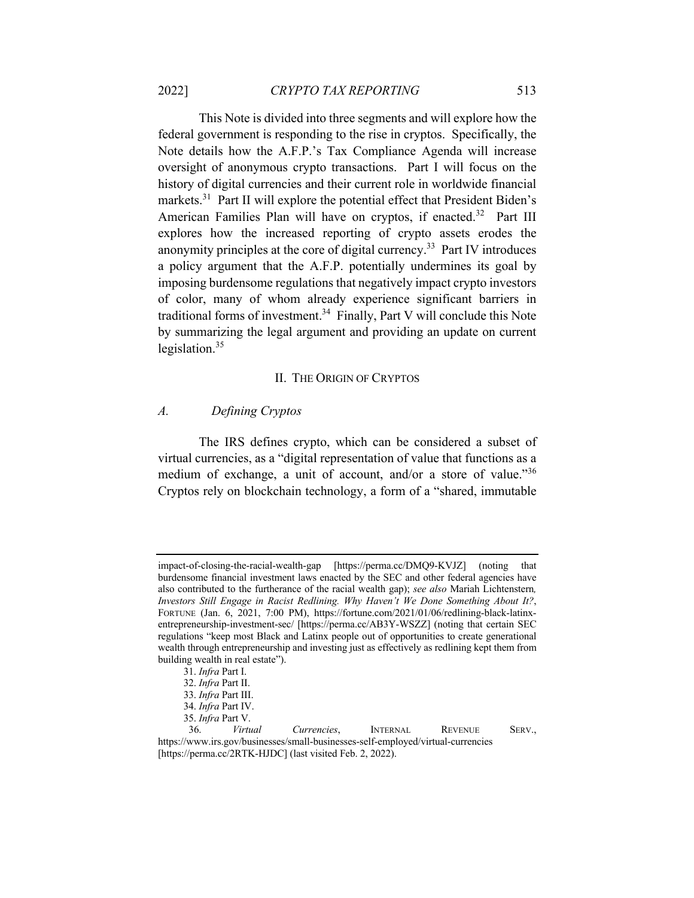This Note is divided into three segments and will explore how the federal government is responding to the rise in cryptos. Specifically, the Note details how the A.F.P.'s Tax Compliance Agenda will increase oversight of anonymous crypto transactions. Part I will focus on the history of digital currencies and their current role in worldwide financial markets.<sup>31</sup> Part II will explore the potential effect that President Biden's American Families Plan will have on cryptos, if enacted.<sup>32</sup> Part III explores how the increased reporting of crypto assets erodes the anonymity principles at the core of digital currency.33 Part IV introduces a policy argument that the A.F.P. potentially undermines its goal by imposing burdensome regulations that negatively impact crypto investors of color, many of whom already experience significant barriers in traditional forms of investment.<sup>34</sup> Finally, Part V will conclude this Note by summarizing the legal argument and providing an update on current legislation. $35$ 

#### II. THE ORIGIN OF CRYPTOS

#### *A. Defining Cryptos*

The IRS defines crypto, which can be considered a subset of virtual currencies, as a "digital representation of value that functions as a medium of exchange, a unit of account, and/or a store of value."36 Cryptos rely on blockchain technology, a form of a "shared, immutable

impact-of-closing-the-racial-wealth-gap [https://perma.cc/DMQ9-KVJZ] (noting that burdensome financial investment laws enacted by the SEC and other federal agencies have also contributed to the furtherance of the racial wealth gap); *see also* Mariah Lichtenstern*, Investors Still Engage in Racist Redlining. Why Haven't We Done Something About It?*, FORTUNE (Jan. 6, 2021, 7:00 PM), https://fortune.com/2021/01/06/redlining-black-latinxentrepreneurship-investment-sec/ [https://perma.cc/AB3Y-WSZZ] (noting that certain SEC regulations "keep most Black and Latinx people out of opportunities to create generational wealth through entrepreneurship and investing just as effectively as redlining kept them from building wealth in real estate").

 <sup>31.</sup> *Infra* Part I.

 <sup>32.</sup> *Infra* Part II.

 <sup>33.</sup> *Infra* Part III.

 <sup>34.</sup> *Infra* Part IV.

 <sup>35.</sup> *Infra* Part V.

 <sup>36.</sup> *Virtual Currencies*, INTERNAL REVENUE SERV., https://www.irs.gov/businesses/small-businesses-self-employed/virtual-currencies [https://perma.cc/2RTK-HJDC] (last visited Feb. 2, 2022).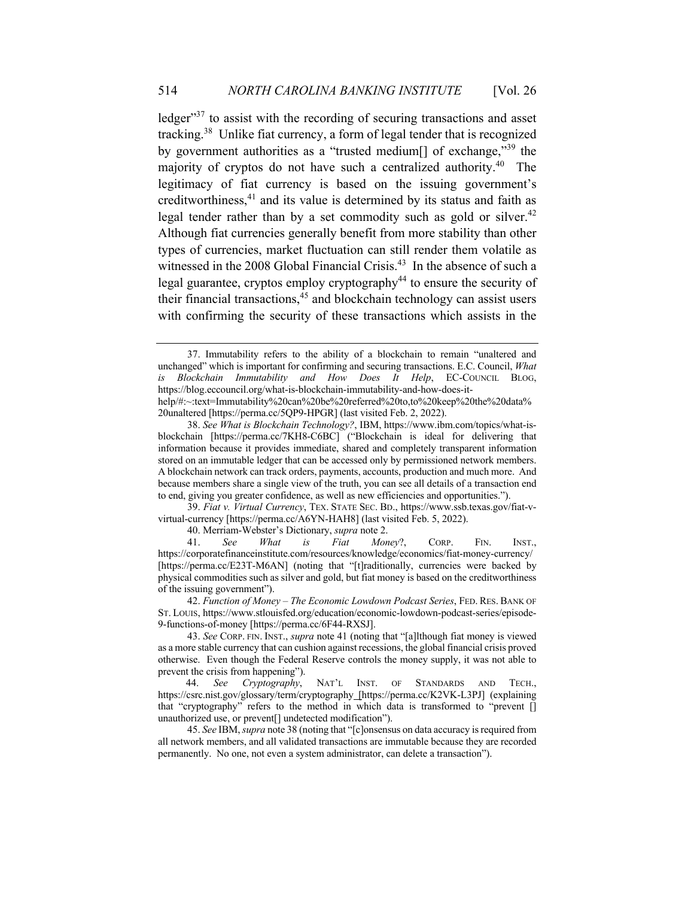ledger<sup>37</sup> to assist with the recording of securing transactions and asset tracking.38 Unlike fiat currency, a form of legal tender that is recognized by government authorities as a "trusted medium<sup>[]</sup> of exchange,"<sup>39</sup> the majority of cryptos do not have such a centralized authority.40 The legitimacy of fiat currency is based on the issuing government's creditworthiness,<sup>41</sup> and its value is determined by its status and faith as legal tender rather than by a set commodity such as gold or silver.<sup>42</sup> Although fiat currencies generally benefit from more stability than other types of currencies, market fluctuation can still render them volatile as witnessed in the 2008 Global Financial Crisis.<sup>43</sup> In the absence of such a legal guarantee, cryptos employ cryptography<sup>44</sup> to ensure the security of their financial transactions, $45$  and blockchain technology can assist users with confirming the security of these transactions which assists in the

39. *Fiat v. Virtual Currency*, TEX. STATE SEC. BD., https://www.ssb.texas.gov/fiat-vvirtual-currency [https://perma.cc/A6YN-HAH8] (last visited Feb. 5, 2022).

<sup>37.</sup> Immutability refers to the ability of a blockchain to remain "unaltered and unchanged" which is important for confirming and securing transactions. E.C. Council, *What is Blockchain Immutability and How Does It Help*, EC-COUNCIL BLOG, https://blog.eccouncil.org/what-is-blockchain-immutability-and-how-does-ithelp/#:~:text=Immutability%20can%20be%20referred%20to,to%20keep%20the%20data% 20unaltered [https://perma.cc/5QP9-HPGR] (last visited Feb. 2, 2022).

<sup>38.</sup> *See What is Blockchain Technology?*, IBM, https://www.ibm.com/topics/what-isblockchain [https://perma.cc/7KH8-C6BC] ("Blockchain is ideal for delivering that information because it provides immediate, shared and completely transparent information stored on an immutable ledger that can be accessed only by permissioned network members. A blockchain network can track orders, payments, accounts, production and much more. And because members share a single view of the truth, you can see all details of a transaction end to end, giving you greater confidence, as well as new efficiencies and opportunities.").

<sup>40.</sup> Merriam-Webster's Dictionary, *supra* note 2.

<sup>41.</sup> *See What is Fiat Money*?, CORP. FIN. INST., https://corporatefinanceinstitute.com/resources/knowledge/economics/fiat-money-currency/ [https://perma.cc/E23T-M6AN] (noting that "[t]raditionally, currencies were backed by physical commodities such as silver and gold, but fiat money is based on the creditworthiness of the issuing government").

<sup>42.</sup> *Function of Money – The Economic Lowdown Podcast Series*, FED. RES. BANK OF ST. LOUIS, https://www.stlouisfed.org/education/economic-lowdown-podcast-series/episode-9-functions-of-money [https://perma.cc/6F44-RXSJ].

<sup>43.</sup> *See* CORP. FIN. INST., *supra* note 41 (noting that "[a]lthough fiat money is viewed as a more stable currency that can cushion against recessions, the global financial crisis proved otherwise. Even though the Federal Reserve controls the money supply, it was not able to prevent the crisis from happening").

 <sup>44.</sup> *See Cryptography*, NAT'L INST. OF STANDARDS AND TECH., https://csrc.nist.gov/glossary/term/cryptography [https://perma.cc/K2VK-L3PJ] (explaining that "cryptography" refers to the method in which data is transformed to "prevent [] unauthorized use, or prevent[] undetected modification").

<sup>45.</sup> *See* IBM, *supra* note 38 (noting that "[c]onsensus on data accuracy is required from all network members, and all validated transactions are immutable because they are recorded permanently. No one, not even a system administrator, can delete a transaction").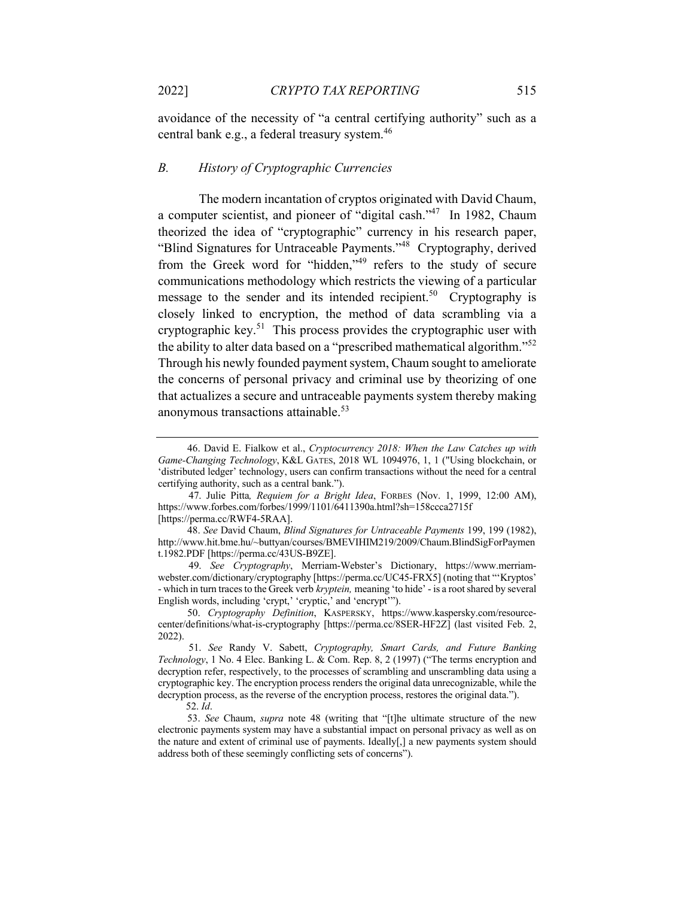avoidance of the necessity of "a central certifying authority" such as a central bank e.g., a federal treasury system. 46

#### *B. History of Cryptographic Currencies*

The modern incantation of cryptos originated with David Chaum, a computer scientist, and pioneer of "digital cash."47 In 1982, Chaum theorized the idea of "cryptographic" currency in his research paper, "Blind Signatures for Untraceable Payments."48 Cryptography, derived from the Greek word for "hidden,"<sup>49</sup> refers to the study of secure communications methodology which restricts the viewing of a particular message to the sender and its intended recipient.<sup>50</sup> Cryptography is closely linked to encryption, the method of data scrambling via a cryptographic key.<sup>51</sup> This process provides the cryptographic user with the ability to alter data based on a "prescribed mathematical algorithm."52 Through his newly founded payment system, Chaum sought to ameliorate the concerns of personal privacy and criminal use by theorizing of one that actualizes a secure and untraceable payments system thereby making anonymous transactions attainable. 53

<sup>46.</sup> David E. Fialkow et al., *Cryptocurrency 2018: When the Law Catches up with Game-Changing Technology*, K&L GATES, 2018 WL 1094976, 1, 1 ("Using blockchain, or 'distributed ledger' technology, users can confirm transactions without the need for a central certifying authority, such as a central bank.").

 <sup>47.</sup> Julie Pitta*, Requiem for a Bright Idea*, FORBES (Nov. 1, 1999, 12:00 AM), https://www.forbes.com/forbes/1999/1101/6411390a.html?sh=158ccca2715f [https://perma.cc/RWF4-5RAA].

<sup>48.</sup> *See* David Chaum, *Blind Signatures for Untraceable Payments* 199, 199 (1982), http://www.hit.bme.hu/~buttyan/courses/BMEVIHIM219/2009/Chaum.BlindSigForPaymen t.1982.PDF [https://perma.cc/43US-B9ZE].

 <sup>49.</sup> *See Cryptography*, Merriam-Webster's Dictionary, https://www.merriamwebster.com/dictionary/cryptography [https://perma.cc/UC45-FRX5] (noting that "'Kryptos' - which in turn traces to the Greek verb *kryptein,* meaning 'to hide' - is a root shared by several English words, including 'crypt,' 'cryptic,' and 'encrypt'").

<sup>50.</sup> *Cryptography Definition*, KASPERSKY, https://www.kaspersky.com/resourcecenter/definitions/what-is-cryptography [https://perma.cc/8SER-HF2Z] (last visited Feb. 2, 2022).

 <sup>51.</sup> *See* Randy V. Sabett, *Cryptography, Smart Cards, and Future Banking Technology*, 1 No. 4 Elec. Banking L. & Com. Rep. 8, 2 (1997) ("The terms encryption and decryption refer, respectively, to the processes of scrambling and unscrambling data using a cryptographic key. The encryption process renders the original data unrecognizable, while the decryption process, as the reverse of the encryption process, restores the original data.").

 <sup>52.</sup> *Id*.

<sup>53.</sup> *See* Chaum, *supra* note 48 (writing that "[t]he ultimate structure of the new electronic payments system may have a substantial impact on personal privacy as well as on the nature and extent of criminal use of payments. Ideally[,] a new payments system should address both of these seemingly conflicting sets of concerns").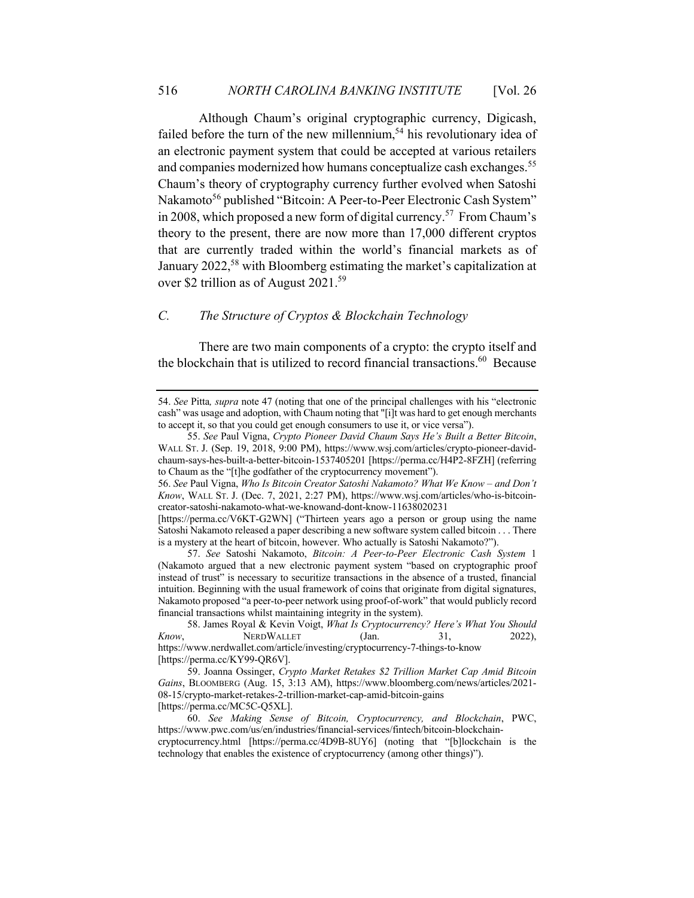Although Chaum's original cryptographic currency, Digicash, failed before the turn of the new millennium,<sup>54</sup> his revolutionary idea of an electronic payment system that could be accepted at various retailers and companies modernized how humans conceptualize cash exchanges.<sup>55</sup> Chaum's theory of cryptography currency further evolved when Satoshi Nakamoto<sup>56</sup> published "Bitcoin: A Peer-to-Peer Electronic Cash System" in 2008, which proposed a new form of digital currency.57 From Chaum's theory to the present, there are now more than 17,000 different cryptos that are currently traded within the world's financial markets as of January 2022,<sup>58</sup> with Bloomberg estimating the market's capitalization at over \$2 trillion as of August 2021.<sup>59</sup>

## *C. The Structure of Cryptos & Blockchain Technology*

There are two main components of a crypto: the crypto itself and the blockchain that is utilized to record financial transactions.<sup>60</sup> Because

<sup>54.</sup> *See* Pitta*, supra* note 47 (noting that one of the principal challenges with his "electronic cash" was usage and adoption, with Chaum noting that "[i]t was hard to get enough merchants to accept it, so that you could get enough consumers to use it, or vice versa").

<sup>55.</sup> *See* Paul Vigna, *Crypto Pioneer David Chaum Says He's Built a Better Bitcoin*, WALL ST. J. (Sep. 19, 2018, 9:00 PM), https://www.wsj.com/articles/crypto-pioneer-davidchaum-says-hes-built-a-better-bitcoin-1537405201 [https://perma.cc/H4P2-8FZH] (referring to Chaum as the "[t]he godfather of the cryptocurrency movement").

<sup>56.</sup> *See* Paul Vigna, *Who Is Bitcoin Creator Satoshi Nakamoto? What We Know – and Don't Know*, WALL ST. J. (Dec. 7, 2021, 2:27 PM), https://www.wsj.com/articles/who-is-bitcoincreator-satoshi-nakamoto-what-we-knowand-dont-know-11638020231

<sup>[</sup>https://perma.cc/V6KT-G2WN] ("Thirteen years ago a person or group using the name Satoshi Nakamoto released a paper describing a new software system called bitcoin . . . There is a mystery at the heart of bitcoin, however. Who actually is Satoshi Nakamoto?").

<sup>57.</sup> *See* Satoshi Nakamoto, *Bitcoin: A Peer-to-Peer Electronic Cash System* 1 (Nakamoto argued that a new electronic payment system "based on cryptographic proof instead of trust" is necessary to securitize transactions in the absence of a trusted, financial intuition. Beginning with the usual framework of coins that originate from digital signatures, Nakamoto proposed "a peer-to-peer network using proof-of-work" that would publicly record financial transactions whilst maintaining integrity in the system).

<sup>58.</sup> James Royal & Kevin Voigt, *What Is Cryptocurrency? Here's What You Should Know*, **NERDWALLET** (Jan. 31, 2022), https://www.nerdwallet.com/article/investing/cryptocurrency-7-things-to-know [https://perma.cc/KY99-QR6V].

<sup>59.</sup> Joanna Ossinger, *Crypto Market Retakes \$2 Trillion Market Cap Amid Bitcoin Gains*, BLOOMBERG (Aug. 15, 3:13 AM), https://www.bloomberg.com/news/articles/2021- 08-15/crypto-market-retakes-2-trillion-market-cap-amid-bitcoin-gains [https://perma.cc/MC5C-Q5XL].

<sup>60.</sup> *See Making Sense of Bitcoin, Cryptocurrency, and Blockchain*, PWC, https://www.pwc.com/us/en/industries/financial-services/fintech/bitcoin-blockchaincryptocurrency.html [https://perma.cc/4D9B-8UY6] (noting that "[b]lockchain is the technology that enables the existence of cryptocurrency (among other things)").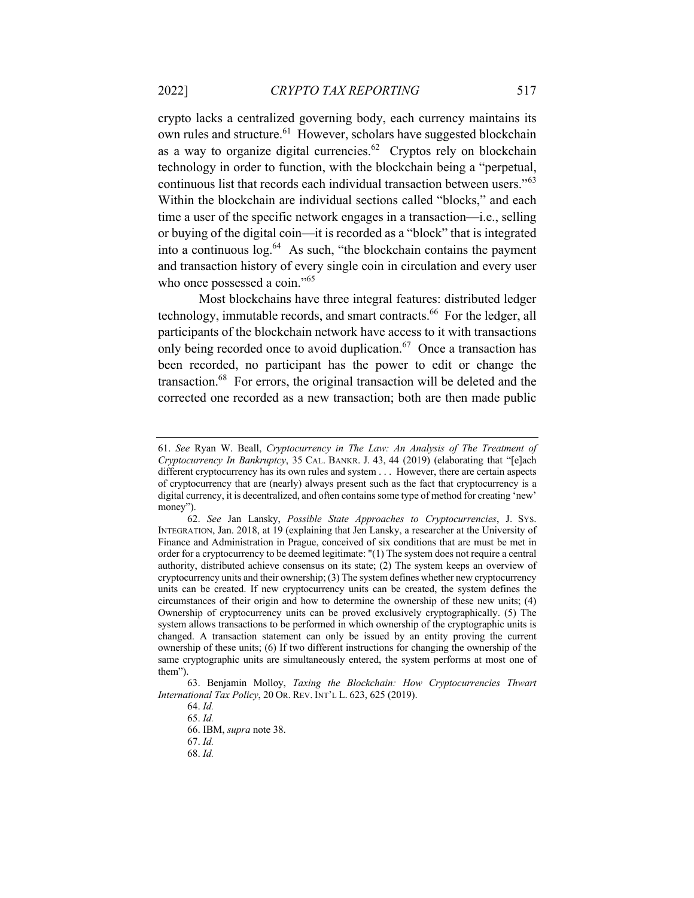crypto lacks a centralized governing body, each currency maintains its own rules and structure.<sup>61</sup> However, scholars have suggested blockchain as a way to organize digital currencies.<sup>62</sup> Cryptos rely on blockchain technology in order to function, with the blockchain being a "perpetual, continuous list that records each individual transaction between users."63 Within the blockchain are individual sections called "blocks," and each time a user of the specific network engages in a transaction—i.e., selling or buying of the digital coin—it is recorded as a "block" that is integrated into a continuous  $\log^{64}$  As such, "the blockchain contains the payment and transaction history of every single coin in circulation and every user who once possessed a coin."<sup>65</sup>

Most blockchains have three integral features: distributed ledger technology, immutable records, and smart contracts.<sup>66</sup> For the ledger, all participants of the blockchain network have access to it with transactions only being recorded once to avoid duplication. $67$  Once a transaction has been recorded, no participant has the power to edit or change the transaction.68 For errors, the original transaction will be deleted and the corrected one recorded as a new transaction; both are then made public

<sup>61.</sup> *See* Ryan W. Beall, *Cryptocurrency in The Law: An Analysis of The Treatment of Cryptocurrency In Bankruptcy*, 35 CAL. BANKR. J. 43, 44 (2019) (elaborating that "[e]ach different cryptocurrency has its own rules and system . . . However, there are certain aspects of cryptocurrency that are (nearly) always present such as the fact that cryptocurrency is a digital currency, it is decentralized, and often contains some type of method for creating 'new' money").

<sup>62.</sup> *See* Jan Lansky, *Possible State Approaches to Cryptocurrencies*, J. SYS. INTEGRATION, Jan. 2018, at 19 (explaining that Jen Lansky, a researcher at the University of Finance and Administration in Prague, conceived of six conditions that are must be met in order for a cryptocurrency to be deemed legitimate: "(1) The system does not require a central authority, distributed achieve consensus on its state; (2) The system keeps an overview of cryptocurrency units and their ownership; (3) The system defines whether new cryptocurrency units can be created. If new cryptocurrency units can be created, the system defines the circumstances of their origin and how to determine the ownership of these new units; (4) Ownership of cryptocurrency units can be proved exclusively cryptographically. (5) The system allows transactions to be performed in which ownership of the cryptographic units is changed. A transaction statement can only be issued by an entity proving the current ownership of these units; (6) If two different instructions for changing the ownership of the same cryptographic units are simultaneously entered, the system performs at most one of them").

<sup>63.</sup> Benjamin Molloy, *Taxing the Blockchain: How Cryptocurrencies Thwart International Tax Policy*, 20 OR. REV. INT'L L. 623, 625 (2019).

<sup>64.</sup> *Id.*

<sup>65.</sup> *Id.*

<sup>66.</sup> IBM, *supra* note 38.

<sup>67.</sup> *Id.*

<sup>68.</sup> *Id.*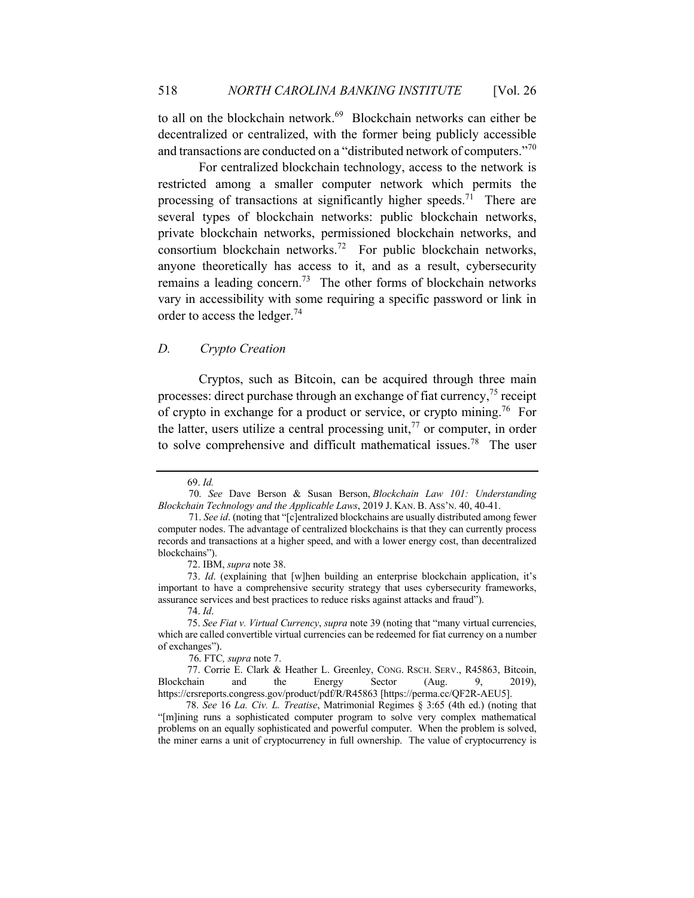to all on the blockchain network.<sup>69</sup> Blockchain networks can either be decentralized or centralized, with the former being publicly accessible and transactions are conducted on a "distributed network of computers."70

For centralized blockchain technology, access to the network is restricted among a smaller computer network which permits the processing of transactions at significantly higher speeds.<sup>71</sup> There are several types of blockchain networks: public blockchain networks, private blockchain networks, permissioned blockchain networks, and consortium blockchain networks.<sup>72</sup> For public blockchain networks, anyone theoretically has access to it, and as a result, cybersecurity remains a leading concern.<sup>73</sup> The other forms of blockchain networks vary in accessibility with some requiring a specific password or link in order to access the ledger.<sup>74</sup>

# *D. Crypto Creation*

Cryptos, such as Bitcoin, can be acquired through three main processes: direct purchase through an exchange of fiat currency,  $75$  receipt of crypto in exchange for a product or service, or crypto mining.<sup>76</sup> For the latter, users utilize a central processing unit,  $^{77}$  or computer, in order to solve comprehensive and difficult mathematical issues.<sup>78</sup> The user

72. IBM, *supra* note 38.

76. FTC*, supra* note 7.

<sup>69.</sup> *Id.*

 <sup>70.</sup> *See* Dave Berson & Susan Berson, *Blockchain Law 101: Understanding Blockchain Technology and the Applicable Laws*, 2019 J. KAN. B. ASS'N. 40, 40-41.

 <sup>71.</sup> *See id*. (noting that "[c]entralized blockchains are usually distributed among fewer computer nodes. The advantage of centralized blockchains is that they can currently process records and transactions at a higher speed, and with a lower energy cost, than decentralized blockchains").

<sup>73.</sup> *Id*. (explaining that [w]hen building an enterprise blockchain application, it's important to have a comprehensive security strategy that uses cybersecurity frameworks, assurance services and best practices to reduce risks against attacks and fraud").

<sup>74.</sup> *Id*.

<sup>75.</sup> *See Fiat v. Virtual Currency*, *supra* note 39 (noting that "many virtual currencies, which are called convertible virtual currencies can be redeemed for fiat currency on a number of exchanges").

<sup>77.</sup> Corrie E. Clark & Heather L. Greenley, CONG. RSCH. SERV., R45863, Bitcoin, Blockchain and the Energy Sector (Aug. 9, 2019), https://crsreports.congress.gov/product/pdf/R/R45863 [https://perma.cc/QF2R-AEU5].

 <sup>78.</sup> *See* 16 *La. Civ. L. Treatise*, Matrimonial Regimes § 3:65 (4th ed.) (noting that "[m]ining runs a sophisticated computer program to solve very complex mathematical problems on an equally sophisticated and powerful computer. When the problem is solved, the miner earns a unit of cryptocurrency in full ownership. The value of cryptocurrency is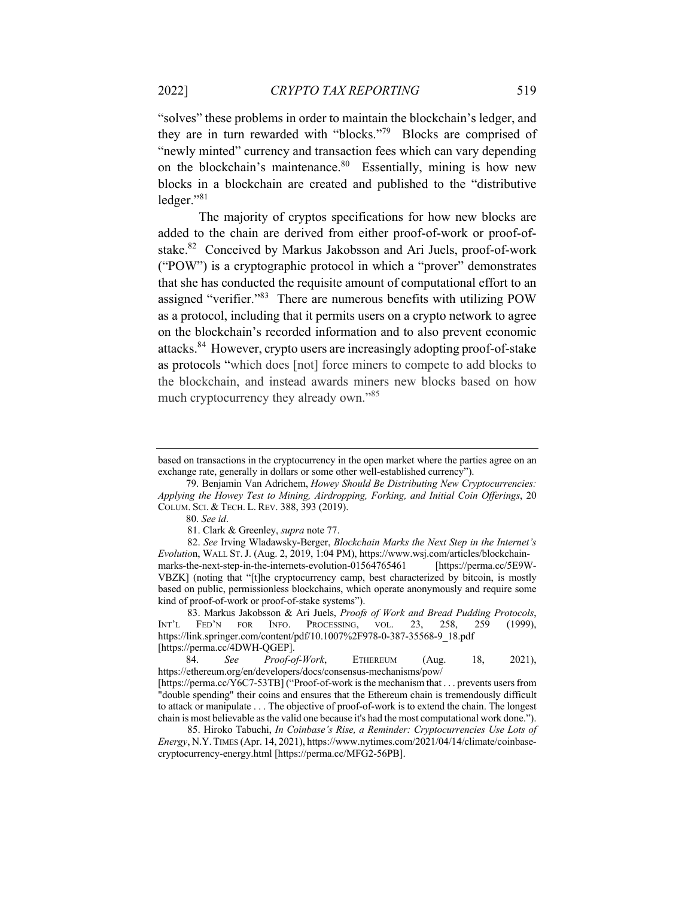"solves" these problems in order to maintain the blockchain's ledger, and they are in turn rewarded with "blocks."79 Blocks are comprised of "newly minted" currency and transaction fees which can vary depending on the blockchain's maintenance.<sup>80</sup> Essentially, mining is how new blocks in a blockchain are created and published to the "distributive ledger."81

The majority of cryptos specifications for how new blocks are added to the chain are derived from either proof-of-work or proof-ofstake.<sup>82</sup> Conceived by Markus Jakobsson and Ari Juels, proof-of-work ("POW") is a cryptographic protocol in which a "prover" demonstrates that she has conducted the requisite amount of computational effort to an assigned "verifier."83 There are numerous benefits with utilizing POW as a protocol, including that it permits users on a crypto network to agree on the blockchain's recorded information and to also prevent economic attacks.84 However, crypto users are increasingly adopting proof-of-stake as protocols "which does [not] force miners to compete to add blocks to the blockchain, and instead awards miners new blocks based on how much cryptocurrency they already own."<sup>85</sup>

83. Markus Jakobsson & Ari Juels, *Proofs of Work and Bread Pudding Protocols*, INT'L FED'N FOR INFO. PROCESSING, VOL. 23, 258, 259 (1999), https://link.springer.com/content/pdf/10.1007%2F978-0-387-35568-9\_18.pdf [https://perma.cc/4DWH-QGEP].

 84. *See Proof-of-Work*, ETHEREUM (Aug. 18, 2021), https://ethereum.org/en/developers/docs/consensus-mechanisms/pow/

based on transactions in the cryptocurrency in the open market where the parties agree on an exchange rate, generally in dollars or some other well-established currency").

 <sup>79.</sup> Benjamin Van Adrichem, *Howey Should Be Distributing New Cryptocurrencies: Applying the Howey Test to Mining, Airdropping, Forking, and Initial Coin Offerings*, 20 COLUM. SCI. & TECH. L. REV. 388, 393 (2019).

 <sup>80.</sup> *See id*.

<sup>81.</sup> Clark & Greenley, *supra* note 77.

<sup>82.</sup> *See* Irving Wladawsky-Berger, *Blockchain Marks the Next Step in the Internet's Evolutio*n, WALL ST.J. (Aug. 2, 2019, 1:04 PM), https://www.wsj.com/articles/blockchainmarks-the-next-step-in-the-internets-evolution-01564765461 [https://perma.cc/5E9W-VBZK] (noting that "[t]he cryptocurrency camp, best characterized by bitcoin, is mostly based on public, permissionless blockchains, which operate anonymously and require some kind of proof-of-work or proof-of-stake systems").

<sup>[</sup>https://perma.cc/Y6C7-53TB] ("Proof-of-work is the mechanism that . . . prevents users from "double spending" their coins and ensures that the Ethereum chain is tremendously difficult to attack or manipulate . . . The objective of proof-of-work is to extend the chain. The longest chain is most believable as the valid one because it's had the most computational work done.").

<sup>85.</sup> Hiroko Tabuchi, *In Coinbase's Rise, a Reminder: Cryptocurrencies Use Lots of Energy*, N.Y.TIMES (Apr. 14, 2021), https://www.nytimes.com/2021/04/14/climate/coinbasecryptocurrency-energy.html [https://perma.cc/MFG2-56PB].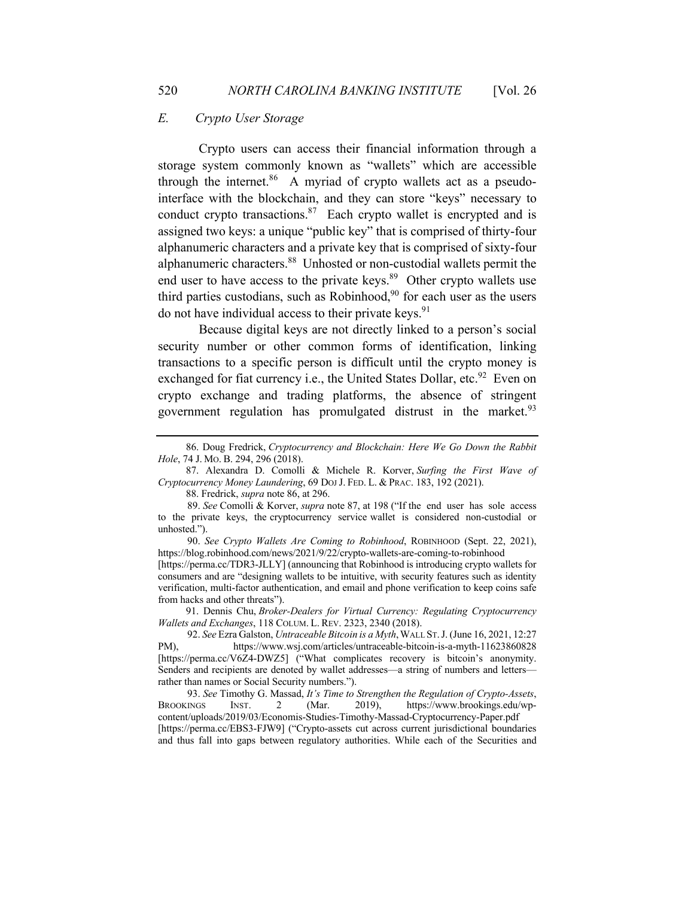# *E. Crypto User Storage*

Crypto users can access their financial information through a storage system commonly known as "wallets" which are accessible through the internet. $86$  A myriad of crypto wallets act as a pseudointerface with the blockchain, and they can store "keys" necessary to conduct crypto transactions. $87$  Each crypto wallet is encrypted and is assigned two keys: a unique "public key" that is comprised of thirty-four alphanumeric characters and a private key that is comprised of sixty-four alphanumeric characters.88 Unhosted or non-custodial wallets permit the end user to have access to the private keys. $89$  Other crypto wallets use third parties custodians, such as Robinhood, $90$  for each user as the users do not have individual access to their private keys. $91$ 

Because digital keys are not directly linked to a person's social security number or other common forms of identification, linking transactions to a specific person is difficult until the crypto money is exchanged for fiat currency i.e., the United States Dollar, etc.<sup>92</sup> Even on crypto exchange and trading platforms, the absence of stringent government regulation has promulgated distrust in the market. $93$ 

88. Fredrick, *supra* note 86, at 296.

consumers and are "designing wallets to be intuitive, with security features such as identity verification, multi-factor authentication, and email and phone verification to keep coins safe from hacks and other threats").

 91. Dennis Chu, *Broker-Dealers for Virtual Currency: Regulating Cryptocurrency Wallets and Exchanges*, 118 COLUM. L. REV. 2323, 2340 (2018).

 <sup>86.</sup> Doug Fredrick, *Cryptocurrency and Blockchain: Here We Go Down the Rabbit Hole*, 74 J. MO. B. 294, 296 (2018).

 <sup>87.</sup> Alexandra D. Comolli & Michele R. Korver, *Surfing the First Wave of Cryptocurrency Money Laundering*, 69 DOJ J. FED. L. & PRAC. 183, 192 (2021).

<sup>89.</sup> *See* Comolli & Korver, *supra* note 87, at 198 ("If the end user has sole access to the private keys, the cryptocurrency service wallet is considered non-custodial or unhosted.").

<sup>90.</sup> *See Crypto Wallets Are Coming to Robinhood*, ROBINHOOD (Sept. 22, 2021), https://blog.robinhood.com/news/2021/9/22/crypto-wallets-are-coming-to-robinhood [https://perma.cc/TDR3-JLLY] (announcing that Robinhood is introducing crypto wallets for

<sup>92.</sup> *See* Ezra Galston, *Untraceable Bitcoin is a Myth*,WALL ST.J. (June 16, 2021, 12:27 PM), https://www.wsj.com/articles/untraceable-bitcoin-is-a-myth-11623860828 [https://perma.cc/V6Z4-DWZ5] ("What complicates recovery is bitcoin's anonymity. Senders and recipients are denoted by wallet addresses—a string of numbers and letters rather than names or Social Security numbers.").

<sup>93.</sup> *See* Timothy G. Massad, *It's Time to Strengthen the Regulation of Crypto-Assets*, BROOKINGS INST. 2 (Mar. 2019), https://www.brookings.edu/wpcontent/uploads/2019/03/Economis-Studies-Timothy-Massad-Cryptocurrency-Paper.pdf [https://perma.cc/EBS3-FJW9] ("Crypto-assets cut across current jurisdictional boundaries and thus fall into gaps between regulatory authorities. While each of the Securities and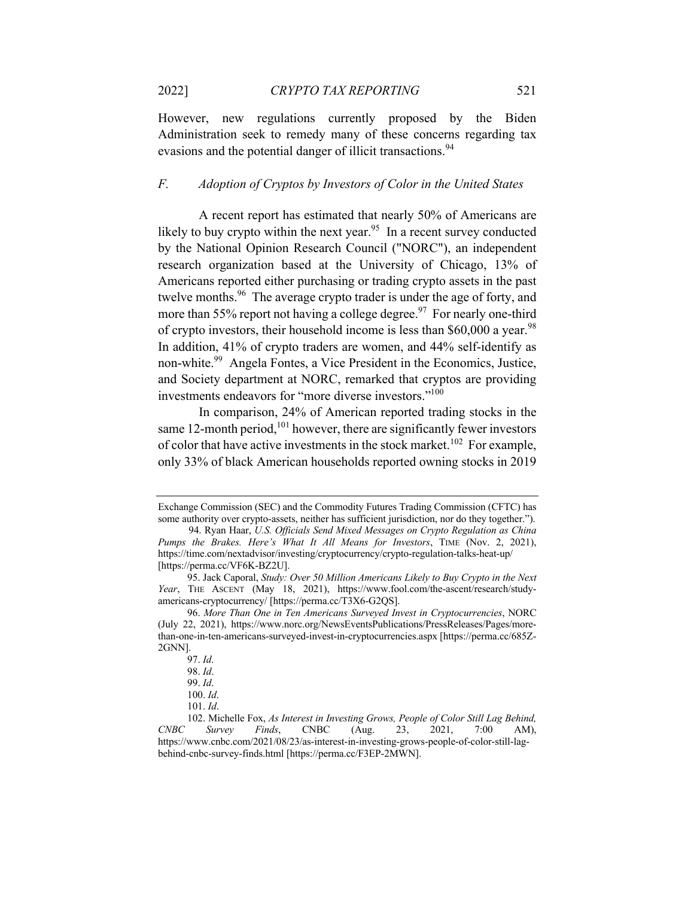However, new regulations currently proposed by the Biden Administration seek to remedy many of these concerns regarding tax evasions and the potential danger of illicit transactions.<sup>94</sup>

### *F. Adoption of Cryptos by Investors of Color in the United States*

A recent report has estimated that nearly 50% of Americans are likely to buy crypto within the next year.<sup>95</sup> In a recent survey conducted by the National Opinion Research Council ("NORC"), an independent research organization based at the University of Chicago, 13% of Americans reported either purchasing or trading crypto assets in the past twelve months.96 The average crypto trader is under the age of forty, and more than 55% report not having a college degree.<sup>97</sup> For nearly one-third of crypto investors, their household income is less than  $$60,000$  a year.<sup>98</sup> In addition, 41% of crypto traders are women, and 44% self-identify as non-white.99 Angela Fontes, a Vice President in the Economics, Justice, and Society department at NORC, remarked that cryptos are providing investments endeavors for "more diverse investors."100

In comparison, 24% of American reported trading stocks in the same 12-month period,  $101$  however, there are significantly fewer investors of color that have active investments in the stock market.<sup>102</sup> For example, only 33% of black American households reported owning stocks in 2019

Exchange Commission (SEC) and the Commodity Futures Trading Commission (CFTC) has some authority over crypto-assets, neither has sufficient jurisdiction, nor do they together."). 94. Ryan Haar, *U.S. Officials Send Mixed Messages on Crypto Regulation as China* 

*Pumps the Brakes. Here's What It All Means for Investors*, TIME (Nov. 2, 2021), https://time.com/nextadvisor/investing/cryptocurrency/crypto-regulation-talks-heat-up/ [https://perma.cc/VF6K-BZ2U].

<sup>95.</sup> Jack Caporal, *Study: Over 50 Million Americans Likely to Buy Crypto in the Next Year*, THE ASCENT (May 18, 2021), https://www.fool.com/the-ascent/research/studyamericans-cryptocurrency/ [https://perma.cc/T3X6-G2QS].

<sup>96.</sup> *More Than One in Ten Americans Surveyed Invest in Cryptocurrencies*, NORC (July 22, 2021), https://www.norc.org/NewsEventsPublications/PressReleases/Pages/morethan-one-in-ten-americans-surveyed-invest-in-cryptocurrencies.aspx [https://perma.cc/685Z-2GNN].

<sup>97.</sup> *Id*.

<sup>98.</sup> *Id*.

<sup>99.</sup> *Id*.

<sup>100.</sup> *Id*.

<sup>101.</sup> *Id*.

<sup>102.</sup> Michelle Fox, *As Interest in Investing Grows, People of Color Still Lag Behind, CNBC Survey Finds*, CNBC (Aug. 23, 2021, 7:00 AM), https://www.cnbc.com/2021/08/23/as-interest-in-investing-grows-people-of-color-still-lagbehind-cnbc-survey-finds.html [https://perma.cc/F3EP-2MWN].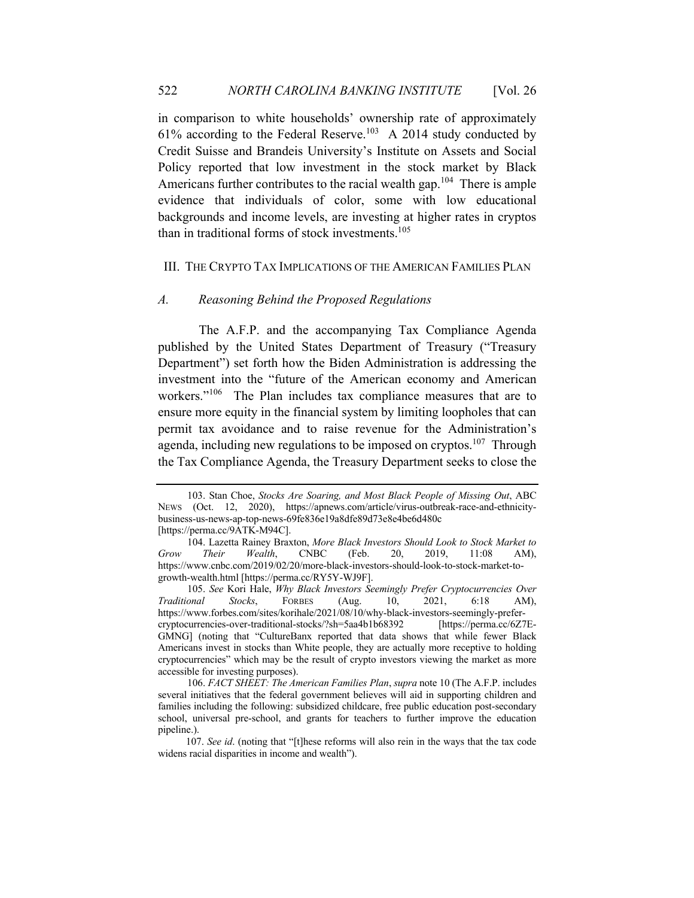in comparison to white households' ownership rate of approximately  $61\%$  according to the Federal Reserve.<sup>103</sup> A 2014 study conducted by Credit Suisse and Brandeis University's Institute on Assets and Social Policy reported that low investment in the stock market by Black Americans further contributes to the racial wealth gap.<sup>104</sup> There is ample evidence that individuals of color, some with low educational backgrounds and income levels, are investing at higher rates in cryptos than in traditional forms of stock investments. 105

#### III. THE CRYPTO TAX IMPLICATIONS OF THE AMERICAN FAMILIES PLAN

#### *A. Reasoning Behind the Proposed Regulations*

The A.F.P. and the accompanying Tax Compliance Agenda published by the United States Department of Treasury ("Treasury Department") set forth how the Biden Administration is addressing the investment into the "future of the American economy and American workers."<sup>106</sup> The Plan includes tax compliance measures that are to ensure more equity in the financial system by limiting loopholes that can permit tax avoidance and to raise revenue for the Administration's agenda, including new regulations to be imposed on cryptos.<sup>107</sup> Through the Tax Compliance Agenda, the Treasury Department seeks to close the

<sup>103.</sup> Stan Choe, *Stocks Are Soaring, and Most Black People of Missing Out*, ABC NEWS (Oct. 12, 2020), https://apnews.com/article/virus-outbreak-race-and-ethnicitybusiness-us-news-ap-top-news-69fe836e19a8dfe89d73e8e4be6d480c [https://perma.cc/9ATK-M94C].

<sup>104.</sup> Lazetta Rainey Braxton, *More Black Investors Should Look to Stock Market to Grow Their Wealth*, CNBC (Feb. 20, 2019, 11:08 AM), https://www.cnbc.com/2019/02/20/more-black-investors-should-look-to-stock-market-togrowth-wealth.html [https://perma.cc/RY5Y-WJ9F].

<sup>105.</sup> *See* Kori Hale, *Why Black Investors Seemingly Prefer Cryptocurrencies Over Traditional Stocks*, FORBES (Aug. 10, 2021, 6:18 AM), https://www.forbes.com/sites/korihale/2021/08/10/why-black-investors-seemingly-prefercryptocurrencies-over-traditional-stocks/?sh=5aa4b1b68392 [https://perma.cc/6Z7E-GMNG] (noting that "CultureBanx reported that data shows that while fewer Black Americans invest in stocks than White people, they are actually more receptive to holding cryptocurrencies" which may be the result of crypto investors viewing the market as more accessible for investing purposes).

<sup>106.</sup> *FACT SHEET: The American Families Plan*, *supra* note 10 (The A.F.P. includes several initiatives that the federal government believes will aid in supporting children and families including the following: subsidized childcare, free public education post-secondary school, universal pre-school, and grants for teachers to further improve the education pipeline.).

 <sup>107.</sup> *See id*. (noting that "[t]hese reforms will also rein in the ways that the tax code widens racial disparities in income and wealth").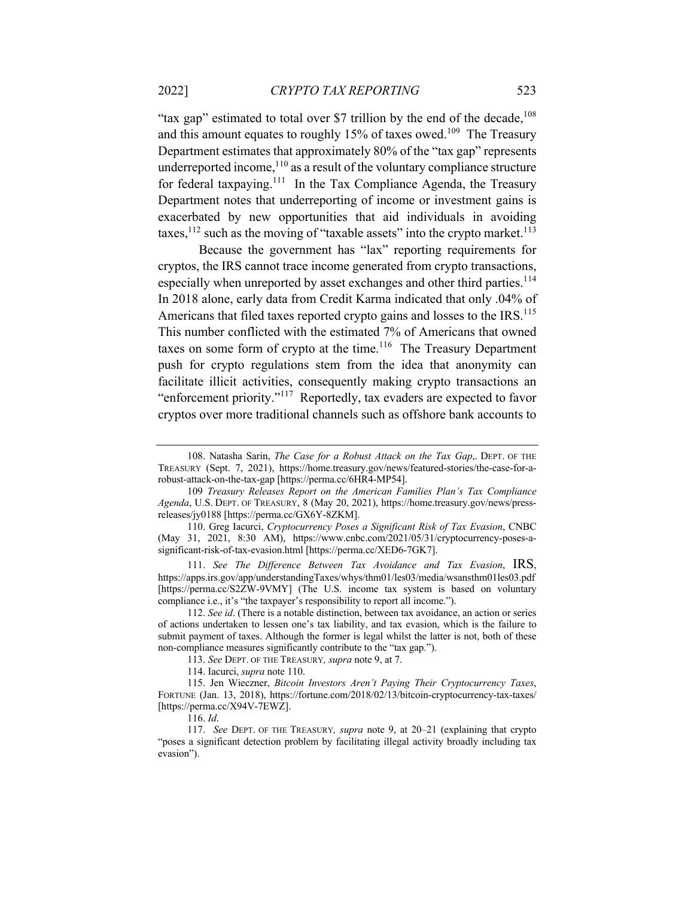"tax gap" estimated to total over \$7 trillion by the end of the decade,  $^{108}$ and this amount equates to roughly 15% of taxes owed.<sup>109</sup> The Treasury Department estimates that approximately 80% of the "tax gap" represents underreported income, $110$  as a result of the voluntary compliance structure for federal taxpaying.111 In the Tax Compliance Agenda, the Treasury Department notes that underreporting of income or investment gains is exacerbated by new opportunities that aid individuals in avoiding taxes,  $112$  such as the moving of "taxable assets" into the crypto market.<sup>113</sup>

Because the government has "lax" reporting requirements for cryptos, the IRS cannot trace income generated from crypto transactions, especially when unreported by asset exchanges and other third parties.<sup>114</sup> In 2018 alone, early data from Credit Karma indicated that only .04% of Americans that filed taxes reported crypto gains and losses to the IRS.<sup>115</sup> This number conflicted with the estimated 7% of Americans that owned taxes on some form of crypto at the time.<sup>116</sup> The Treasury Department push for crypto regulations stem from the idea that anonymity can facilitate illicit activities, consequently making crypto transactions an "enforcement priority."117 Reportedly, tax evaders are expected to favor cryptos over more traditional channels such as offshore bank accounts to

111. *See The Difference Between Tax Avoidance and Tax Evasion*, IRS, https://apps.irs.gov/app/understandingTaxes/whys/thm01/les03/media/wsansthm01les03.pdf [https://perma.cc/S2ZW-9VMY] (The U.S. income tax system is based on voluntary compliance i.e., it's "the taxpayer's responsibility to report all income.").

112. *See id*. (There is a notable distinction, between tax avoidance, an action or series of actions undertaken to lessen one's tax liability, and tax evasion, which is the failure to submit payment of taxes. Although the former is legal whilst the latter is not, both of these non-compliance measures significantly contribute to the "tax gap.").

113. *See* DEPT. OF THE TREASURY*, supra* note 9, at 7.

115. Jen Wieczner, *Bitcoin Investors Aren't Paying Their Cryptocurrency Taxes*, FORTUNE (Jan. 13, 2018), https://fortune.com/2018/02/13/bitcoin-cryptocurrency-tax-taxes/ [https://perma.cc/X94V-7EWZ].

116. *Id*.

117. *See* DEPT. OF THE TREASURY*, supra* note 9, at 20–21 (explaining that crypto "poses a significant detection problem by facilitating illegal activity broadly including tax evasion").

<sup>108.</sup> Natasha Sarin, *The Case for a Robust Attack on the Tax Gap*,. DEPT. OF THE TREASURY (Sept. 7, 2021), https://home.treasury.gov/news/featured-stories/the-case-for-arobust-attack-on-the-tax-gap [https://perma.cc/6HR4-MP54].

<sup>109</sup> *Treasury Releases Report on the American Families Plan's Tax Compliance Agenda*, U.S. DEPT. OF TREASURY, 8 (May 20, 2021), https://home.treasury.gov/news/pressreleases/jy0188 [https://perma.cc/GX6Y-8ZKM].

<sup>110.</sup> Greg Iacurci, *Cryptocurrency Poses a Significant Risk of Tax Evasion*, CNBC (May 31, 2021, 8:30 AM), https://www.cnbc.com/2021/05/31/cryptocurrency-poses-asignificant-risk-of-tax-evasion.html [https://perma.cc/XED6-7GK7].

<sup>114.</sup> Iacurci, *supra* note 110.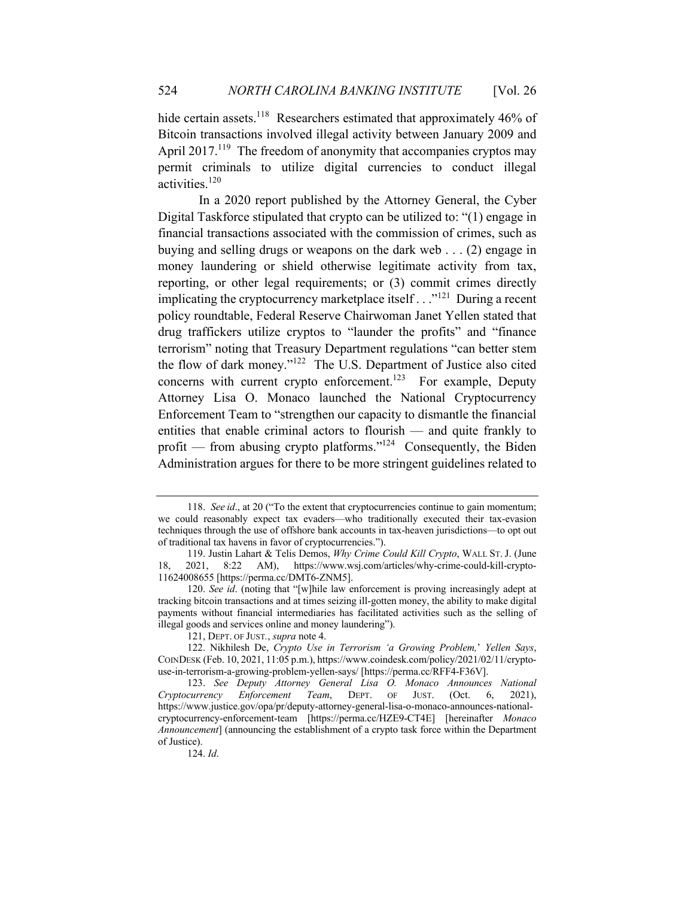hide certain assets.<sup>118</sup> Researchers estimated that approximately 46% of Bitcoin transactions involved illegal activity between January 2009 and April  $2017$ <sup>119</sup>. The freedom of anonymity that accompanies cryptos may permit criminals to utilize digital currencies to conduct illegal activities.<sup>120</sup>

In a 2020 report published by the Attorney General, the Cyber Digital Taskforce stipulated that crypto can be utilized to: "(1) engage in financial transactions associated with the commission of crimes, such as buying and selling drugs or weapons on the dark web . . . (2) engage in money laundering or shield otherwise legitimate activity from tax, reporting, or other legal requirements; or (3) commit crimes directly implicating the cryptocurrency marketplace itself... $^{121}$  During a recent policy roundtable, Federal Reserve Chairwoman Janet Yellen stated that drug traffickers utilize cryptos to "launder the profits" and "finance terrorism" noting that Treasury Department regulations "can better stem the flow of dark money."122 The U.S. Department of Justice also cited concerns with current crypto enforcement.<sup>123</sup> For example, Deputy Attorney Lisa O. Monaco launched the National Cryptocurrency Enforcement Team to "strengthen our capacity to dismantle the financial entities that enable criminal actors to flourish — and quite frankly to profit — from abusing crypto platforms." $124$  Consequently, the Biden Administration argues for there to be more stringent guidelines related to

<sup>118.</sup> *See id*., at 20 ("To the extent that cryptocurrencies continue to gain momentum; we could reasonably expect tax evaders—who traditionally executed their tax-evasion techniques through the use of offshore bank accounts in tax-heaven jurisdictions—to opt out of traditional tax havens in favor of cryptocurrencies.").

<sup>119.</sup> Justin Lahart & Telis Demos, *Why Crime Could Kill Crypto*, WALL ST. J. (June 18, 2021, 8:22 AM), https://www.wsj.com/articles/why-crime-could-kill-crypto-11624008655 [https://perma.cc/DMT6-ZNM5].

<sup>120.</sup> *See id*. (noting that "[w]hile law enforcement is proving increasingly adept at tracking bitcoin transactions and at times seizing ill-gotten money, the ability to make digital payments without financial intermediaries has facilitated activities such as the selling of illegal goods and services online and money laundering").

<sup>121,</sup> DEPT. OF JUST*.*, *supra* note 4.

<sup>122.</sup> Nikhilesh De, *Crypto Use in Terrorism 'a Growing Problem,*' *Yellen Says*, COINDESK (Feb. 10, 2021, 11:05 p.m.), https://www.coindesk.com/policy/2021/02/11/cryptouse-in-terrorism-a-growing-problem-yellen-says/ [https://perma.cc/RFF4-F36V].

<sup>123.</sup> *See Deputy Attorney General Lisa O. Monaco Announces National Cryptocurrency Enforcement Team*, DEPT. OF JUST. (Oct. 6, 2021), https://www.justice.gov/opa/pr/deputy-attorney-general-lisa-o-monaco-announces-nationalcryptocurrency-enforcement-team [https://perma.cc/HZE9-CT4E] [hereinafter *Monaco Announcement*] (announcing the establishment of a crypto task force within the Department of Justice).

<sup>124.</sup> *Id*.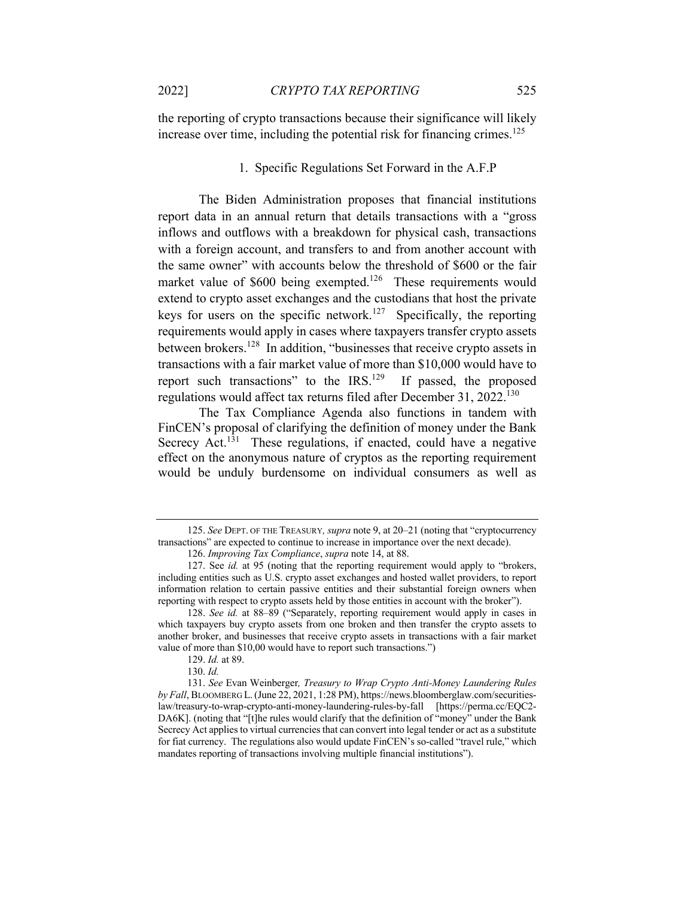the reporting of crypto transactions because their significance will likely increase over time, including the potential risk for financing crimes.<sup>125</sup>

## 1. Specific Regulations Set Forward in the A.F.P

The Biden Administration proposes that financial institutions report data in an annual return that details transactions with a "gross inflows and outflows with a breakdown for physical cash, transactions with a foreign account, and transfers to and from another account with the same owner" with accounts below the threshold of \$600 or the fair market value of \$600 being exempted.<sup>126</sup> These requirements would extend to crypto asset exchanges and the custodians that host the private keys for users on the specific network.<sup>127</sup> Specifically, the reporting requirements would apply in cases where taxpayers transfer crypto assets between brokers.128 In addition, "businesses that receive crypto assets in transactions with a fair market value of more than \$10,000 would have to report such transactions" to the IRS.<sup>129</sup> If passed, the proposed regulations would affect tax returns filed after December 31, 2022.<sup>130</sup>

The Tax Compliance Agenda also functions in tandem with FinCEN's proposal of clarifying the definition of money under the Bank Secrecy  $\text{Act.}^{131}$  These regulations, if enacted, could have a negative effect on the anonymous nature of cryptos as the reporting requirement would be unduly burdensome on individual consumers as well as

<sup>125.</sup> *See* DEPT. OF THE TREASURY*, supra* note 9, at 20–21 (noting that "cryptocurrency transactions" are expected to continue to increase in importance over the next decade).

<sup>126.</sup> *Improving Tax Compliance*, *supra* note 14, at 88.

<sup>127.</sup> See *id.* at 95 (noting that the reporting requirement would apply to "brokers, including entities such as U.S. crypto asset exchanges and hosted wallet providers, to report information relation to certain passive entities and their substantial foreign owners when reporting with respect to crypto assets held by those entities in account with the broker").

<sup>128.</sup> *See id.* at 88–89 ("Separately, reporting requirement would apply in cases in which taxpayers buy crypto assets from one broken and then transfer the crypto assets to another broker, and businesses that receive crypto assets in transactions with a fair market value of more than \$10,00 would have to report such transactions.")

<sup>129.</sup> *Id.* at 89.

<sup>130.</sup> *Id.*

<sup>131.</sup> *See* Evan Weinberger*, Treasury to Wrap Crypto Anti-Money Laundering Rules by Fall*, BLOOMBERG L.(June 22, 2021, 1:28 PM), https://news.bloomberglaw.com/securitieslaw/treasury-to-wrap-crypto-anti-money-laundering-rules-by-fall [https://perma.cc/EQC2- DA6K]. (noting that "[t]he rules would clarify that the definition of "money" under the Bank Secrecy Act applies to virtual currencies that can convert into legal tender or act as a substitute for fiat currency. The regulations also would update FinCEN's so-called "travel rule," which mandates reporting of transactions involving multiple financial institutions").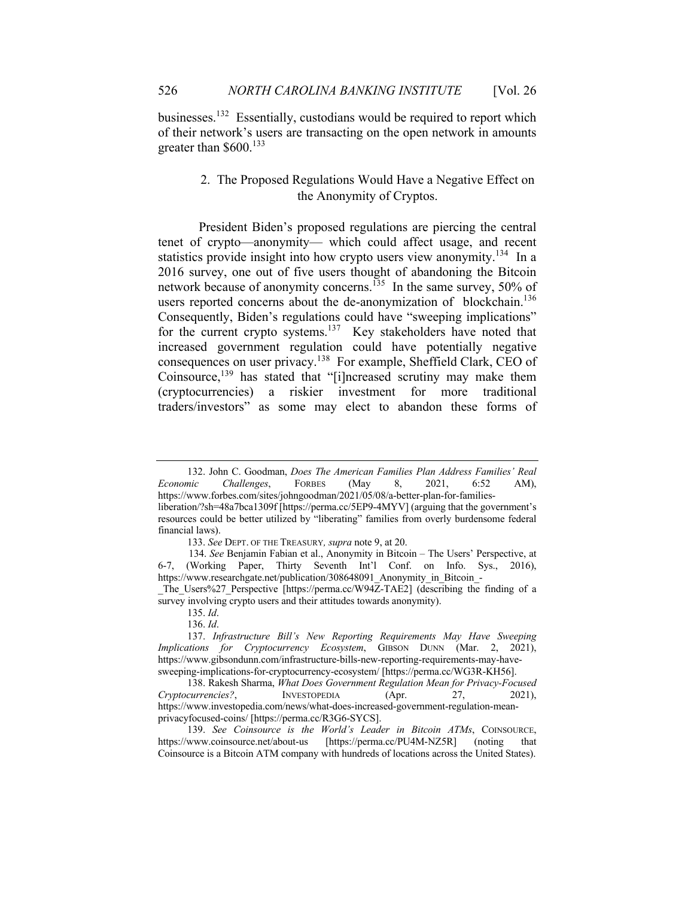businesses.<sup>132</sup> Essentially, custodians would be required to report which of their network's users are transacting on the open network in amounts greater than  $$600.<sup>133</sup>$ 

# 2. The Proposed Regulations Would Have a Negative Effect on the Anonymity of Cryptos.

President Biden's proposed regulations are piercing the central tenet of crypto—anonymity— which could affect usage, and recent statistics provide insight into how crypto users view anonymity.<sup>134</sup> In a 2016 survey, one out of five users thought of abandoning the Bitcoin network because of anonymity concerns.<sup>135</sup> In the same survey, 50% of users reported concerns about the de-anonymization of blockchain.<sup>136</sup> Consequently, Biden's regulations could have "sweeping implications" for the current crypto systems.<sup>137</sup> Key stakeholders have noted that increased government regulation could have potentially negative consequences on user privacy.138 For example, Sheffield Clark, CEO of Coinsource,<sup>139</sup> has stated that "[i]ncreased scrutiny may make them (cryptocurrencies) a riskier investment for more traditional traders/investors" as some may elect to abandon these forms of

<sup>132.</sup> John C. Goodman, *Does The American Families Plan Address Families' Real Economic Challenges*, FORBES (May 8, 2021, 6:52 AM), https://www.forbes.com/sites/johngoodman/2021/05/08/a-better-plan-for-familiesliberation/?sh=48a7bca1309f [https://perma.cc/5EP9-4MYV] (arguing that the government's resources could be better utilized by "liberating" families from overly burdensome federal financial laws).

<sup>133.</sup> *See* DEPT. OF THE TREASURY*, supra* note 9, at 20.

 <sup>134.</sup> *See* Benjamin Fabian et al., Anonymity in Bitcoin – The Users' Perspective, at 6-7, (Working Paper, Thirty Seventh Int'l Conf. on Info. Sys., 2016), https://www.researchgate.net/publication/308648091 Anonymity in Bitcoin -The Users%27 Perspective [https://perma.cc/W94Z-TAE2] (describing the finding of a

survey involving crypto users and their attitudes towards anonymity).

<sup>135.</sup> *Id*. 136. *Id*.

<sup>137.</sup> *Infrastructure Bill's New Reporting Requirements May Have Sweeping Implications for Cryptocurrency Ecosystem*, GIBSON DUNN (Mar. 2, 2021), https://www.gibsondunn.com/infrastructure-bills-new-reporting-requirements-may-havesweeping-implications-for-cryptocurrency-ecosystem/ [https://perma.cc/WG3R-KH56].

<sup>138.</sup> Rakesh Sharma, *What Does Government Regulation Mean for Privacy-Focused Cryptocurrencies?*, INVESTOPEDIA (Apr. 27, 2021), https://www.investopedia.com/news/what-does-increased-government-regulation-meanprivacyfocused-coins/ [https://perma.cc/R3G6-SYCS].

<sup>139.</sup> See Coinsource is the World's Leader in Bitcoin ATMs, COINSOURCE, https://www.coinsource.net/about-us [https://perma.cc/PU4M-NZ5R] (noting that Coinsource is a Bitcoin ATM company with hundreds of locations across the United States).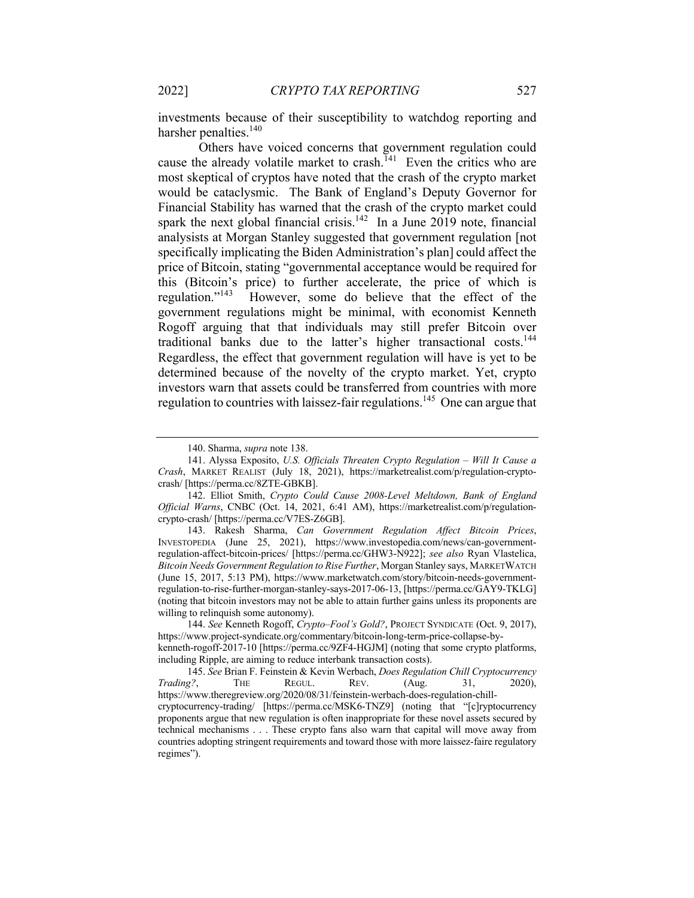investments because of their susceptibility to watchdog reporting and harsher penalties.<sup>140</sup>

Others have voiced concerns that government regulation could cause the already volatile market to crash.<sup>141</sup> Even the critics who are most skeptical of cryptos have noted that the crash of the crypto market would be cataclysmic. The Bank of England's Deputy Governor for Financial Stability has warned that the crash of the crypto market could spark the next global financial crisis.<sup>142</sup> In a June 2019 note, financial analysists at Morgan Stanley suggested that government regulation [not specifically implicating the Biden Administration's plan] could affect the price of Bitcoin, stating "governmental acceptance would be required for this (Bitcoin's price) to further accelerate, the price of which is regulation."143 However, some do believe that the effect of the government regulations might be minimal, with economist Kenneth Rogoff arguing that that individuals may still prefer Bitcoin over traditional banks due to the latter's higher transactional costs.<sup>144</sup> Regardless, the effect that government regulation will have is yet to be determined because of the novelty of the crypto market. Yet, crypto investors warn that assets could be transferred from countries with more regulation to countries with laissez-fair regulations.<sup>145</sup> One can argue that

144. *See* Kenneth Rogoff, *Crypto–Fool's Gold?*, PROJECT SYNDICATE (Oct. 9, 2017), https://www.project-syndicate.org/commentary/bitcoin-long-term-price-collapse-bykenneth-rogoff-2017-10 [https://perma.cc/9ZF4-HGJM] (noting that some crypto platforms, including Ripple, are aiming to reduce interbank transaction costs).

<sup>140.</sup> Sharma, *supra* note 138.

<sup>141.</sup> Alyssa Exposito, *U.S. Officials Threaten Crypto Regulation – Will It Cause a Crash*, MARKET REALIST (July 18, 2021), https://marketrealist.com/p/regulation-cryptocrash/ [https://perma.cc/8ZTE-GBKB].

<sup>142.</sup> Elliot Smith, *Crypto Could Cause 2008-Level Meltdown, Bank of England Official Warns*, CNBC (Oct. 14, 2021, 6:41 AM), https://marketrealist.com/p/regulationcrypto-crash/ [https://perma.cc/V7ES-Z6GB].

<sup>143.</sup> Rakesh Sharma, *Can Government Regulation Affect Bitcoin Prices*, INVESTOPEDIA (June 25, 2021), https://www.investopedia.com/news/can-governmentregulation-affect-bitcoin-prices/ [https://perma.cc/GHW3-N922]; *see also* Ryan Vlastelica, *Bitcoin Needs Government Regulation to Rise Further*, Morgan Stanley says, MARKETWATCH (June 15, 2017, 5:13 PM), https://www.marketwatch.com/story/bitcoin-needs-governmentregulation-to-rise-further-morgan-stanley-says-2017-06-13, [https://perma.cc/GAY9-TKLG] (noting that bitcoin investors may not be able to attain further gains unless its proponents are willing to relinquish some autonomy).

<sup>145.</sup> *See* Brian F. Feinstein & Kevin Werbach, *Does Regulation Chill Cryptocurrency Trading*?, THE REGUL. REV. (Aug. 31, 2020), https://www.theregreview.org/2020/08/31/feinstein-werbach-does-regulation-chillcryptocurrency-trading/ [https://perma.cc/MSK6-TNZ9] (noting that "[c]ryptocurrency proponents argue that new regulation is often inappropriate for these novel assets secured by technical mechanisms . . . These crypto fans also warn that capital will move away from countries adopting stringent requirements and toward those with more laissez-faire regulatory regimes").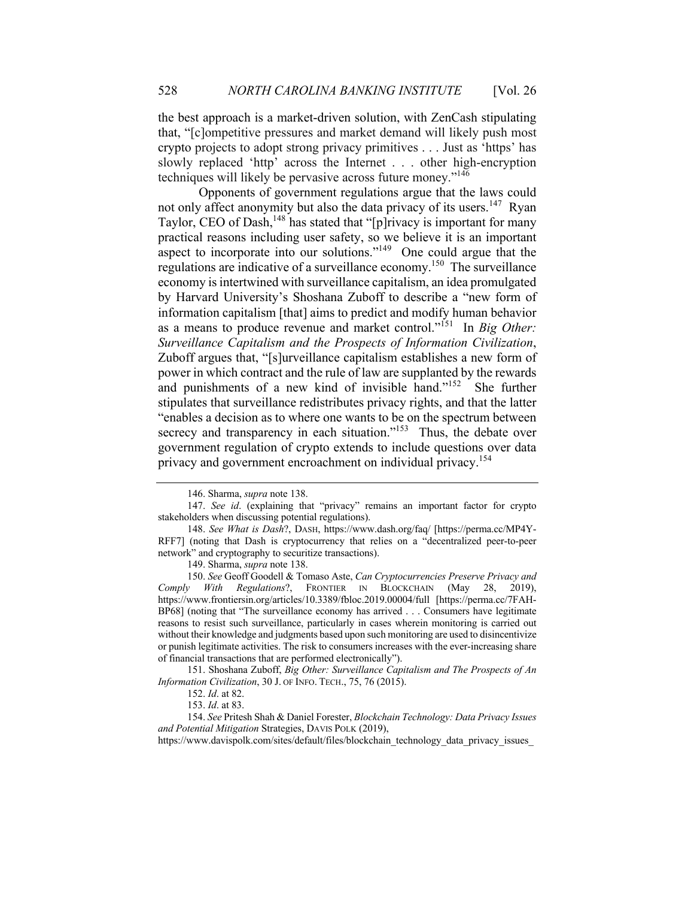the best approach is a market-driven solution, with ZenCash stipulating that, "[c]ompetitive pressures and market demand will likely push most crypto projects to adopt strong privacy primitives . . . Just as 'https' has slowly replaced 'http' across the Internet . . . other high-encryption techniques will likely be pervasive across future money."146

Opponents of government regulations argue that the laws could not only affect anonymity but also the data privacy of its users.<sup>147</sup> Ryan Taylor, CEO of Dash,<sup>148</sup> has stated that "[p]rivacy is important for many practical reasons including user safety, so we believe it is an important aspect to incorporate into our solutions." $149$  One could argue that the regulations are indicative of a surveillance economy.150 The surveillance economy is intertwined with surveillance capitalism, an idea promulgated by Harvard University's Shoshana Zuboff to describe a "new form of information capitalism [that] aims to predict and modify human behavior as a means to produce revenue and market control."151 In *Big Other: Surveillance Capitalism and the Prospects of Information Civilization*, Zuboff argues that, "[s]urveillance capitalism establishes a new form of power in which contract and the rule of law are supplanted by the rewards and punishments of a new kind of invisible hand."152 She further stipulates that surveillance redistributes privacy rights, and that the latter "enables a decision as to where one wants to be on the spectrum between secrecy and transparency in each situation."<sup>153</sup> Thus, the debate over government regulation of crypto extends to include questions over data privacy and government encroachment on individual privacy.<sup>154</sup>

149. Sharma, *supra* note 138.

<sup>146.</sup> Sharma, *supra* note 138.

<sup>147.</sup> *See id*. (explaining that "privacy" remains an important factor for crypto stakeholders when discussing potential regulations).

<sup>148.</sup> *See What is Dash*?, DASH, https://www.dash.org/faq/ [https://perma.cc/MP4Y-RFF7] (noting that Dash is cryptocurrency that relies on a "decentralized peer-to-peer network" and cryptography to securitize transactions).

<sup>150.</sup> *See* Geoff Goodell & Tomaso Aste, *Can Cryptocurrencies Preserve Privacy and Comply With Regulations*?, FRONTIER IN BLOCKCHAIN (May 28, 2019), https://www.frontiersin.org/articles/10.3389/fbloc.2019.00004/full [https://perma.cc/7FAH-BP68] (noting that "The surveillance economy has arrived . . . Consumers have legitimate reasons to resist such surveillance, particularly in cases wherein monitoring is carried out without their knowledge and judgments based upon such monitoring are used to disincentivize or punish legitimate activities. The risk to consumers increases with the ever-increasing share of financial transactions that are performed electronically").

<sup>151.</sup> Shoshana Zuboff, *Big Other: Surveillance Capitalism and The Prospects of An Information Civilization*, 30 J. OF INFO. TECH., 75, 76 (2015).

<sup>152.</sup> *Id*. at 82.

<sup>153.</sup> *Id*. at 83.

<sup>154.</sup> *See* Pritesh Shah & Daniel Forester, *Blockchain Technology: Data Privacy Issues and Potential Mitigation* Strategies, DAVIS POLK (2019),

https://www.davispolk.com/sites/default/files/blockchain\_technology\_data\_privacy\_issues\_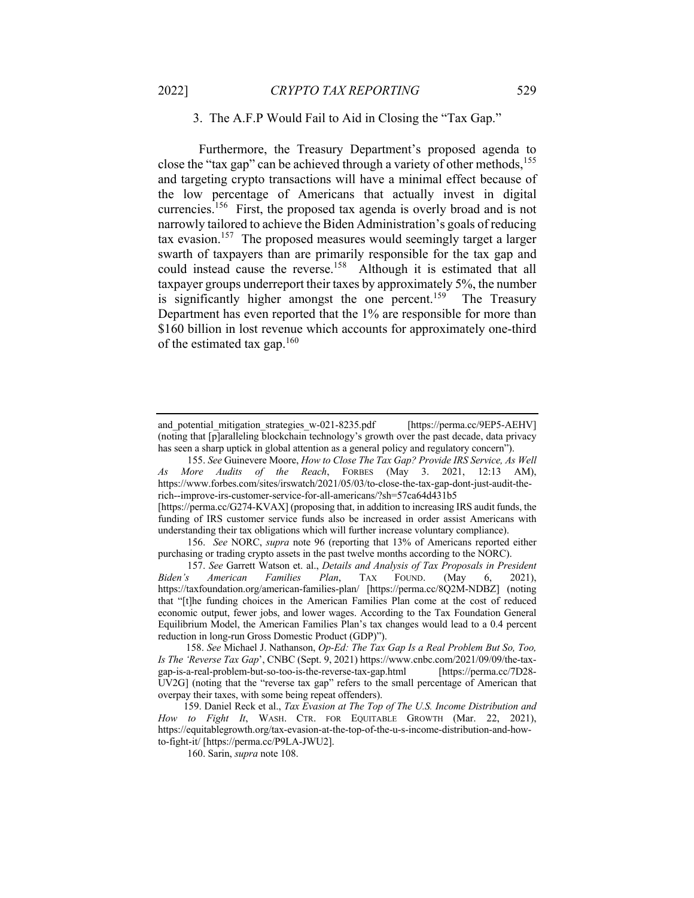## 3. The A.F.P Would Fail to Aid in Closing the "Tax Gap."

Furthermore, the Treasury Department's proposed agenda to close the "tax gap" can be achieved through a variety of other methods,  $155$ and targeting crypto transactions will have a minimal effect because of the low percentage of Americans that actually invest in digital currencies.<sup>156</sup> First, the proposed tax agenda is overly broad and is not narrowly tailored to achieve the Biden Administration's goals of reducing tax evasion. 157 The proposed measures would seemingly target a larger swarth of taxpayers than are primarily responsible for the tax gap and could instead cause the reverse.<sup>158</sup> Although it is estimated that all taxpayer groups underreport their taxes by approximately 5%, the number is significantly higher amongst the one percent.<sup>159</sup> The Treasury Department has even reported that the 1% are responsible for more than \$160 billion in lost revenue which accounts for approximately one-third of the estimated tax gap.<sup>160</sup>

[https://perma.cc/G274-KVAX] (proposing that, in addition to increasing IRS audit funds, the funding of IRS customer service funds also be increased in order assist Americans with understanding their tax obligations which will further increase voluntary compliance).

156. *See* NORC, *supra* note 96 (reporting that 13% of Americans reported either purchasing or trading crypto assets in the past twelve months according to the NORC).

and potential mitigation strategies w-021-8235.pdf [https://perma.cc/9EP5-AEHV] (noting that [p]aralleling blockchain technology's growth over the past decade, data privacy has seen a sharp uptick in global attention as a general policy and regulatory concern").

<sup>155.</sup> *See* Guinevere Moore, *How to Close The Tax Gap? Provide IRS Service, As Well As More Audits of the Reach*, FORBES (May 3. 2021, 12:13 AM), https://www.forbes.com/sites/irswatch/2021/05/03/to-close-the-tax-gap-dont-just-audit-therich--improve-irs-customer-service-for-all-americans/?sh=57ca64d431b5

<sup>157.</sup> *See* Garrett Watson et. al., *Details and Analysis of Tax Proposals in President Biden's American Families Plan*, TAX FOUND. (May 6, 2021), https://taxfoundation.org/american-families-plan/ [https://perma.cc/8Q2M-NDBZ] (noting that "[t]he funding choices in the American Families Plan come at the cost of reduced economic output, fewer jobs, and lower wages. According to the Tax Foundation General Equilibrium Model, the American Families Plan's tax changes would lead to a 0.4 percent reduction in long-run Gross Domestic Product (GDP)").

 <sup>158.</sup> *See* Michael J. Nathanson, *Op-Ed: The Tax Gap Is a Real Problem But So, Too, Is The 'Reverse Tax Gap*', CNBC (Sept. 9, 2021) https://www.cnbc.com/2021/09/09/the-taxgap-is-a-real-problem-but-so-too-is-the-reverse-tax-gap.html [https://perma.cc/7D28- UV2G] (noting that the "reverse tax gap" refers to the small percentage of American that overpay their taxes, with some being repeat offenders).

 <sup>159.</sup> Daniel Reck et al., *Tax Evasion at The Top of The U.S. Income Distribution and How to Fight It*, WASH. CTR. FOR EQUITABLE GROWTH (Mar. 22, 2021), https://equitablegrowth.org/tax-evasion-at-the-top-of-the-u-s-income-distribution-and-howto-fight-it/ [https://perma.cc/P9LA-JWU2].

<sup>160.</sup> Sarin, *supra* note 108.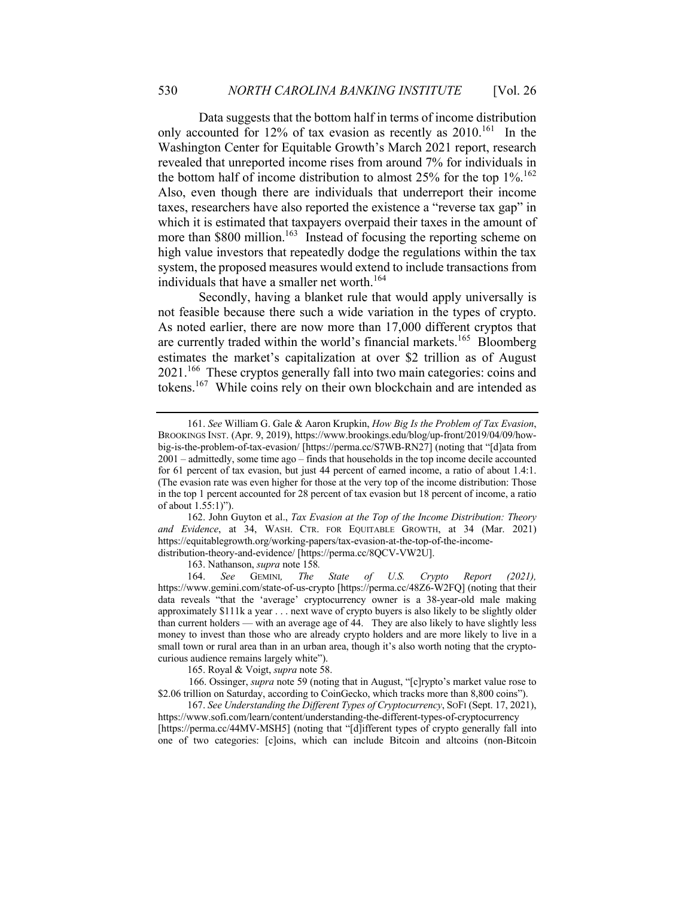Data suggests that the bottom half in terms of income distribution only accounted for 12% of tax evasion as recently as  $2010$ .<sup>161</sup> In the Washington Center for Equitable Growth's March 2021 report, research revealed that unreported income rises from around 7% for individuals in the bottom half of income distribution to almost  $25\%$  for the top  $1\%$ .<sup>162</sup> Also, even though there are individuals that underreport their income taxes, researchers have also reported the existence a "reverse tax gap" in which it is estimated that taxpayers overpaid their taxes in the amount of more than \$800 million.<sup>163</sup> Instead of focusing the reporting scheme on high value investors that repeatedly dodge the regulations within the tax system, the proposed measures would extend to include transactions from individuals that have a smaller net worth.<sup>164</sup>

Secondly, having a blanket rule that would apply universally is not feasible because there such a wide variation in the types of crypto. As noted earlier, there are now more than 17,000 different cryptos that are currently traded within the world's financial markets.<sup>165</sup> Bloomberg estimates the market's capitalization at over \$2 trillion as of August 2021.<sup>166</sup> These cryptos generally fall into two main categories: coins and tokens.167 While coins rely on their own blockchain and are intended as

162. John Guyton et al., *Tax Evasion at the Top of the Income Distribution: Theory and Evidence*, at 34, WASH. CTR. FOR EQUITABLE GROWTH, at 34 (Mar. 2021) https://equitablegrowth.org/working-papers/tax-evasion-at-the-top-of-the-incomedistribution-theory-and-evidence/ [https://perma.cc/8QCV-VW2U].

163. Nathanson, *supra* note 158*.*

164. *See* GEMINI*, The State of U.S. Crypto Report (2021),*  https://www.gemini.com/state-of-us-crypto [https://perma.cc/48Z6-W2FQ] (noting that their data reveals "that the 'average' cryptocurrency owner is a 38-year-old male making approximately \$111k a year . . . next wave of crypto buyers is also likely to be slightly older than current holders — with an average age of 44. They are also likely to have slightly less money to invest than those who are already crypto holders and are more likely to live in a small town or rural area than in an urban area, though it's also worth noting that the cryptocurious audience remains largely white").

165. Royal & Voigt, *supra* note 58.

 166. Ossinger, *supra* note 59 (noting that in August, "[c]rypto's market value rose to \$2.06 trillion on Saturday, according to CoinGecko, which tracks more than 8,800 coins").

167. *See Understanding the Different Types of Cryptocurrency*, SOFI (Sept. 17, 2021), https://www.sofi.com/learn/content/understanding-the-different-types-of-cryptocurrency [https://perma.cc/44MV-MSH5] (noting that "[d]ifferent types of crypto generally fall into

one of two categories: [c]oins, which can include Bitcoin and altcoins (non-Bitcoin

<sup>161.</sup> *See* William G. Gale & Aaron Krupkin, *How Big Is the Problem of Tax Evasion*, BROOKINGS INST. (Apr. 9, 2019), https://www.brookings.edu/blog/up-front/2019/04/09/howbig-is-the-problem-of-tax-evasion/ [https://perma.cc/S7WB-RN27] (noting that "[d]ata from 2001 – admittedly, some time ago – finds that households in the top income decile accounted for 61 percent of tax evasion, but just 44 percent of earned income, a ratio of about 1.4:1. (The evasion rate was even higher for those at the very top of the income distribution: Those in the top 1 percent accounted for 28 percent of tax evasion but 18 percent of income, a ratio of about 1.55:1)").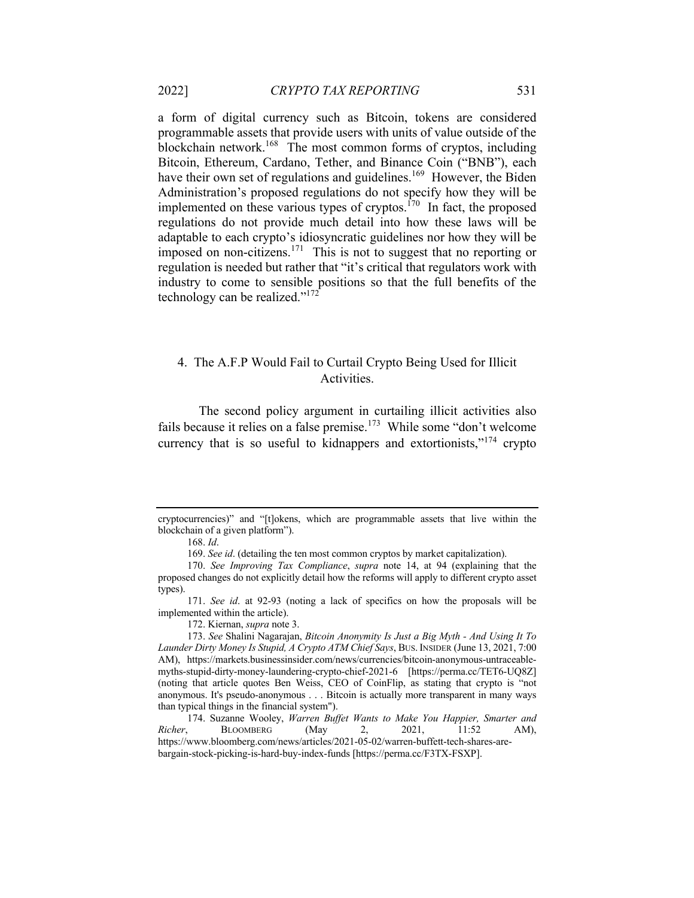a form of digital currency such as Bitcoin, tokens are considered programmable assets that provide users with units of value outside of the blockchain network.168 The most common forms of cryptos, including Bitcoin, Ethereum, Cardano, Tether, and Binance Coin ("BNB"), each have their own set of regulations and guidelines.<sup>169</sup> However, the Biden Administration's proposed regulations do not specify how they will be implemented on these various types of cryptos. $170$  In fact, the proposed regulations do not provide much detail into how these laws will be adaptable to each crypto's idiosyncratic guidelines nor how they will be imposed on non-citizens.<sup>171</sup> This is not to suggest that no reporting or regulation is needed but rather that "it's critical that regulators work with industry to come to sensible positions so that the full benefits of the technology can be realized."172

# 4. The A.F.P Would Fail to Curtail Crypto Being Used for Illicit Activities.

The second policy argument in curtailing illicit activities also fails because it relies on a false premise.<sup>173</sup> While some "don't welcome" currency that is so useful to kidnappers and extortionists,"<sup>174</sup> crypto

172. Kiernan, *supra* note 3.

cryptocurrencies)" and "[t]okens, which are programmable assets that live within the blockchain of a given platform").

<sup>168.</sup> *Id*.

<sup>169.</sup> *See id*. (detailing the ten most common cryptos by market capitalization).

<sup>170.</sup> *See Improving Tax Compliance*, *supra* note 14, at 94 (explaining that the proposed changes do not explicitly detail how the reforms will apply to different crypto asset types).

<sup>171.</sup> *See id*. at 92-93 (noting a lack of specifics on how the proposals will be implemented within the article).

<sup>173.</sup> *See* Shalini Nagarajan, *Bitcoin Anonymity Is Just a Big Myth - And Using It To Launder Dirty Money Is Stupid, A Crypto ATM Chief Says*, BUS.INSIDER (June 13, 2021, 7:00 AM), https://markets.businessinsider.com/news/currencies/bitcoin-anonymous-untraceablemyths-stupid-dirty-money-laundering-crypto-chief-2021-6 [https://perma.cc/TET6-UQ8Z] (noting that article quotes Ben Weiss, CEO of CoinFlip, as stating that crypto is "not anonymous. It's pseudo-anonymous . . . Bitcoin is actually more transparent in many ways than typical things in the financial system").

<sup>174.</sup> Suzanne Wooley, *Warren Buffet Wants to Make You Happier, Smarter and Richer*, BLOOMBERG (May 2, 2021, 11:52 AM), https://www.bloomberg.com/news/articles/2021-05-02/warren-buffett-tech-shares-arebargain-stock-picking-is-hard-buy-index-funds [https://perma.cc/F3TX-FSXP].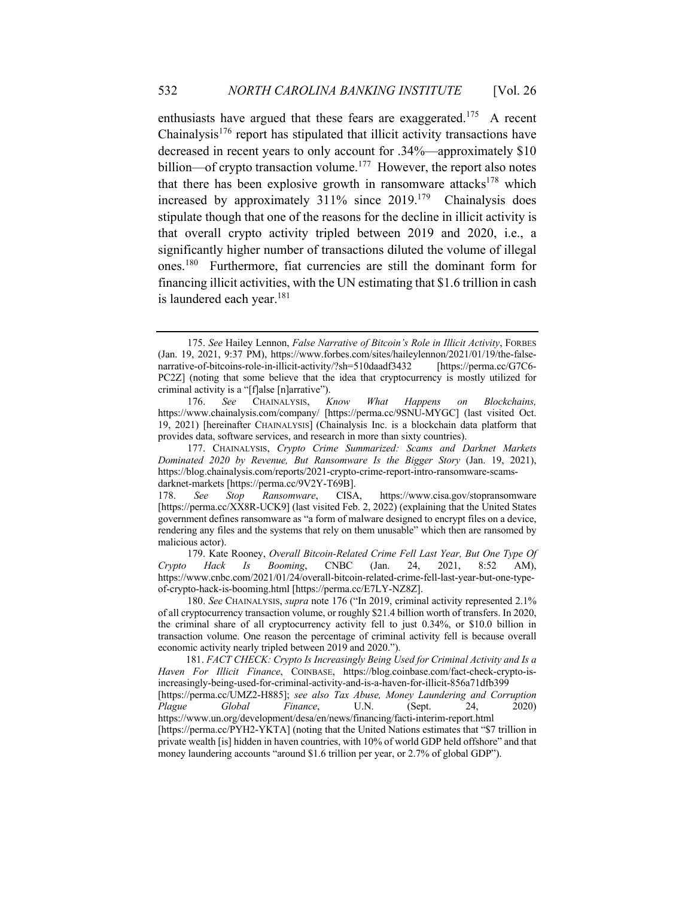enthusiasts have argued that these fears are exaggerated.<sup>175</sup> A recent Chainalysis<sup>176</sup> report has stipulated that illicit activity transactions have decreased in recent years to only account for .34%—approximately \$10 billion—of crypto transaction volume.<sup>177</sup> However, the report also notes that there has been explosive growth in ransomware attacks<sup>178</sup> which increased by approximately  $311\%$  since  $2019$ .<sup>179</sup> Chainalysis does stipulate though that one of the reasons for the decline in illicit activity is that overall crypto activity tripled between 2019 and 2020, i.e., a significantly higher number of transactions diluted the volume of illegal ones.180 Furthermore, fiat currencies are still the dominant form for financing illicit activities, with the UN estimating that \$1.6 trillion in cash is laundered each year. $181$ 

180. *See* CHAINALYSIS, *supra* note 176 ("In 2019, criminal activity represented 2.1% of all cryptocurrency transaction volume, or roughly \$21.4 billion worth of transfers. In 2020, the criminal share of all cryptocurrency activity fell to just 0.34%, or \$10.0 billion in transaction volume. One reason the percentage of criminal activity fell is because overall economic activity nearly tripled between 2019 and 2020.").

<sup>175.</sup> *See* Hailey Lennon, *False Narrative of Bitcoin's Role in Illicit Activity*, FORBES (Jan. 19, 2021, 9:37 PM), https://www.forbes.com/sites/haileylennon/2021/01/19/the-falsenarrative-of-bitcoins-role-in-illicit-activity/?sh=510daadf3432 [https://perma.cc/G7C6- PC2Z] (noting that some believe that the idea that cryptocurrency is mostly utilized for criminal activity is a "[f]alse [n]arrative").

<sup>176.</sup> *See* CHAINALYSIS, *Know What Happens on Blockchains,* https://www.chainalysis.com/company/ [https://perma.cc/9SNU-MYGC] (last visited Oct. 19, 2021) [hereinafter CHAINALYSIS] (Chainalysis Inc. is a blockchain data platform that provides data, software services, and research in more than sixty countries).

<sup>177.</sup> CHAINALYSIS, *Crypto Crime Summarized: Scams and Darknet Markets Dominated 2020 by Revenue, But Ransomware Is the Bigger Story* (Jan. 19, 2021), https://blog.chainalysis.com/reports/2021-crypto-crime-report-intro-ransomware-scamsdarknet-markets [https://perma.cc/9V2Y-T69B].

<sup>178.</sup> *See Stop Ransomware*, CISA, https://www.cisa.gov/stopransomware [https://perma.cc/XX8R-UCK9] (last visited Feb. 2, 2022) (explaining that the United States government defines ransomware as "a form of malware designed to encrypt files on a device, rendering any files and the systems that rely on them unusable" which then are ransomed by malicious actor).

<sup>179.</sup> Kate Rooney, *Overall Bitcoin-Related Crime Fell Last Year, But One Type Of Crypto Hack Is Booming*, CNBC (Jan. 24, 2021, 8:52 AM), https://www.cnbc.com/2021/01/24/overall-bitcoin-related-crime-fell-last-year-but-one-typeof-crypto-hack-is-booming.html [https://perma.cc/E7LY-NZ8Z].

 <sup>181.</sup> *FACT CHECK: Crypto Is Increasingly Being Used for Criminal Activity and Is a Haven For Illicit Finance*, COINBASE, https://blog.coinbase.com/fact-check-crypto-isincreasingly-being-used-for-criminal-activity-and-is-a-haven-for-illicit-856a71dfb399 [https://perma.cc/UMZ2-H885]; *see also Tax Abuse, Money Laundering and Corruption Plague Global Finance*, U.N. (Sept. 24, 2020) https://www.un.org/development/desa/en/news/financing/facti-interim-report.html [https://perma.cc/PYH2-YKTA] (noting that the United Nations estimates that "\$7 trillion in private wealth [is] hidden in haven countries, with 10% of world GDP held offshore" and that money laundering accounts "around \$1.6 trillion per year, or 2.7% of global GDP").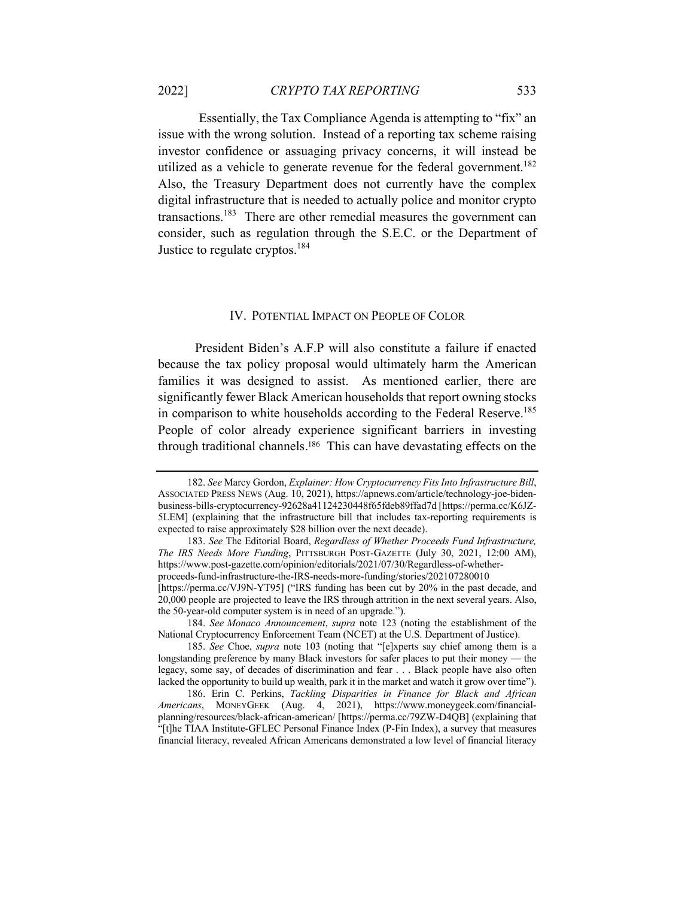Essentially, the Tax Compliance Agenda is attempting to "fix" an issue with the wrong solution. Instead of a reporting tax scheme raising investor confidence or assuaging privacy concerns, it will instead be utilized as a vehicle to generate revenue for the federal government.<sup>182</sup> Also, the Treasury Department does not currently have the complex digital infrastructure that is needed to actually police and monitor crypto transactions.<sup>183</sup> There are other remedial measures the government can consider, such as regulation through the S.E.C. or the Department of Justice to regulate cryptos.<sup>184</sup>

#### IV. POTENTIAL IMPACT ON PEOPLE OF COLOR

 President Biden's A.F.P will also constitute a failure if enacted because the tax policy proposal would ultimately harm the American families it was designed to assist. As mentioned earlier, there are significantly fewer Black American households that report owning stocks in comparison to white households according to the Federal Reserve.<sup>185</sup> People of color already experience significant barriers in investing through traditional channels. 186 This can have devastating effects on the

[https://perma.cc/VJ9N-YT95] ("IRS funding has been cut by 20% in the past decade, and 20,000 people are projected to leave the IRS through attrition in the next several years. Also, the 50-year-old computer system is in need of an upgrade.").

184. *See Monaco Announcement*, *supra* note 123 (noting the establishment of the National Cryptocurrency Enforcement Team (NCET) at the U.S. Department of Justice).

185. *See* Choe, *supra* note 103 (noting that "[e]xperts say chief among them is a longstanding preference by many Black investors for safer places to put their money — the legacy, some say, of decades of discrimination and fear . . . Black people have also often lacked the opportunity to build up wealth, park it in the market and watch it grow over time").

186. Erin C. Perkins, *Tackling Disparities in Finance for Black and African Americans*, MONEYGEEK (Aug. 4, 2021), https://www.moneygeek.com/financialplanning/resources/black-african-american/ [https://perma.cc/79ZW-D4QB] (explaining that "[t]he TIAA Institute-GFLEC Personal Finance Index (P-Fin Index), a survey that measures financial literacy, revealed African Americans demonstrated a low level of financial literacy

<sup>182.</sup> *See* Marcy Gordon, *Explainer: How Cryptocurrency Fits Into Infrastructure Bill*, ASSOCIATED PRESS NEWS (Aug. 10, 2021), https://apnews.com/article/technology-joe-bidenbusiness-bills-cryptocurrency-92628a41124230448f65fdeb89ffad7d [https://perma.cc/K6JZ-5LEM] (explaining that the infrastructure bill that includes tax-reporting requirements is expected to raise approximately \$28 billion over the next decade).

<sup>183.</sup> *See* The Editorial Board, *Regardless of Whether Proceeds Fund Infrastructure, The IRS Needs More Funding*, PITTSBURGH POST-GAZETTE (July 30, 2021, 12:00 AM), https://www.post-gazette.com/opinion/editorials/2021/07/30/Regardless-of-whetherproceeds-fund-infrastructure-the-IRS-needs-more-funding/stories/202107280010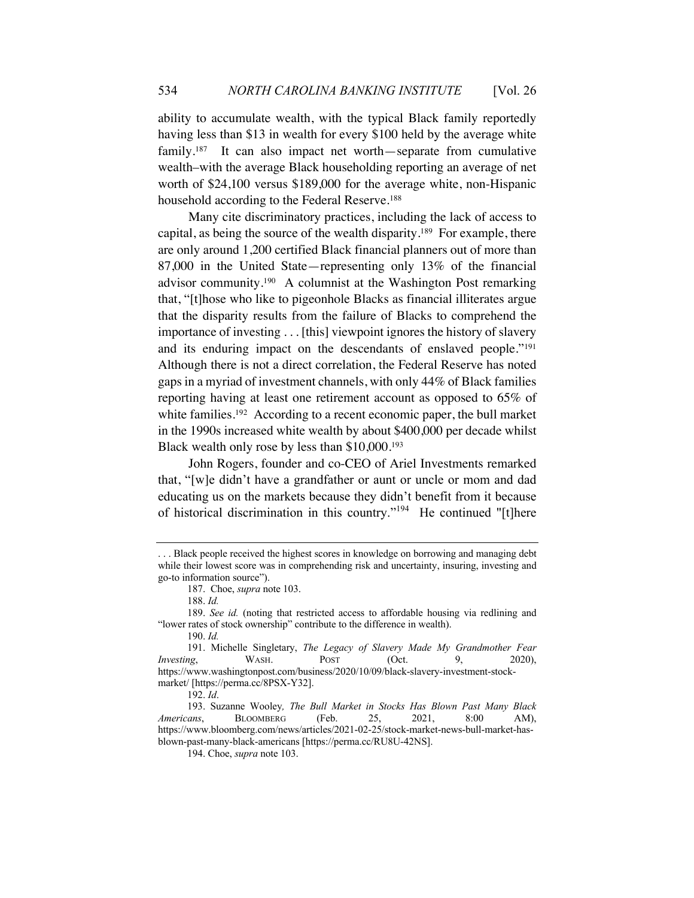ability to accumulate wealth, with the typical Black family reportedly having less than \$13 in wealth for every \$100 held by the average white family.<sup>187</sup> It can also impact net worth—separate from cumulative wealth–with the average Black householding reporting an average of net worth of \$24,100 versus \$189,000 for the average white, non-Hispanic household according to the Federal Reserve.<sup>188</sup>

Many cite discriminatory practices, including the lack of access to capital, as being the source of the wealth disparity. 189 For example, there are only around 1,200 certified Black financial planners out of more than 87,000 in the United State—representing only 13% of the financial advisor community.190 A columnist at the Washington Post remarking that, "[t]hose who like to pigeonhole Blacks as financial illiterates argue that the disparity results from the failure of Blacks to comprehend the importance of investing . . . [this] viewpoint ignores the history of slavery and its enduring impact on the descendants of enslaved people."191 Although there is not a direct correlation, the Federal Reserve has noted gaps in a myriad of investment channels, with only 44% of Black families reporting having at least one retirement account as opposed to 65% of white families.<sup>192</sup> According to a recent economic paper, the bull market in the 1990s increased white wealth by about \$400,000 per decade whilst Black wealth only rose by less than \$10,000.193

John Rogers, founder and co-CEO of Ariel Investments remarked that, "[w]e didn't have a grandfather or aunt or uncle or mom and dad educating us on the markets because they didn't benefit from it because of historical discrimination in this country."194 He continued "[t]here

<sup>. . .</sup> Black people received the highest scores in knowledge on borrowing and managing debt while their lowest score was in comprehending risk and uncertainty, insuring, investing and go-to information source").

<sup>187.</sup> Choe, *supra* note 103.

<sup>188.</sup> *Id.*

<sup>189.</sup> *See id.* (noting that restricted access to affordable housing via redlining and "lower rates of stock ownership" contribute to the difference in wealth).

<sup>190.</sup> *Id.*

<sup>191.</sup> Michelle Singletary, *The Legacy of Slavery Made My Grandmother Fear Investing*, WASH. POST (Oct. 9, 2020), https://www.washingtonpost.com/business/2020/10/09/black-slavery-investment-stockmarket/ [https://perma.cc/8PSX-Y32].

<sup>192.</sup> *Id*.

<sup>193.</sup> Suzanne Wooley*, The Bull Market in Stocks Has Blown Past Many Black Americans*, BLOOMBERG (Feb. 25, 2021, 8:00 AM), https://www.bloomberg.com/news/articles/2021-02-25/stock-market-news-bull-market-hasblown-past-many-black-americans [https://perma.cc/RU8U-42NS].

<sup>194.</sup> Choe, *supra* note 103.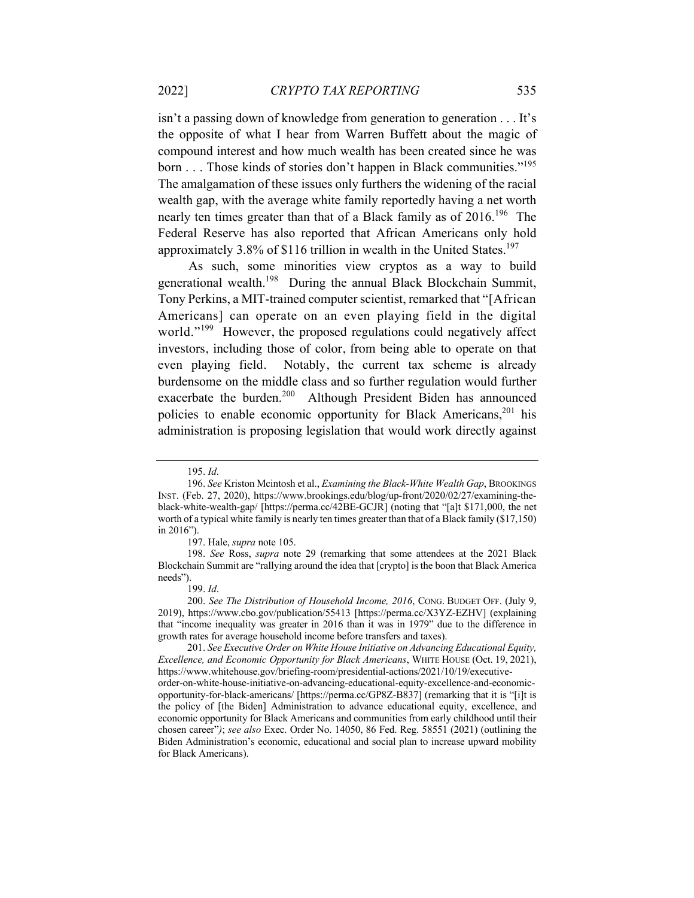isn't a passing down of knowledge from generation to generation . . . It's the opposite of what I hear from Warren Buffett about the magic of compound interest and how much wealth has been created since he was born . . . Those kinds of stories don't happen in Black communities."195 The amalgamation of these issues only furthers the widening of the racial wealth gap, with the average white family reportedly having a net worth nearly ten times greater than that of a Black family as of 2016.<sup>196</sup> The Federal Reserve has also reported that African Americans only hold approximately 3.8% of \$116 trillion in wealth in the United States.<sup>197</sup>

As such, some minorities view cryptos as a way to build generational wealth.198 During the annual Black Blockchain Summit, Tony Perkins, a MIT-trained computer scientist, remarked that "[African Americans] can operate on an even playing field in the digital world."<sup>199</sup> However, the proposed regulations could negatively affect investors, including those of color, from being able to operate on that even playing field. Notably, the current tax scheme is already burdensome on the middle class and so further regulation would further exacerbate the burden.<sup>200</sup> Although President Biden has announced policies to enable economic opportunity for Black Americans,<sup>201</sup> his administration is proposing legislation that would work directly against

<sup>195.</sup> *Id*.

<sup>196.</sup> *See* Kriston Mcintosh et al., *Examining the Black-White Wealth Gap*, BROOKINGS INST. (Feb. 27, 2020), https://www.brookings.edu/blog/up-front/2020/02/27/examining-theblack-white-wealth-gap/ [https://perma.cc/42BE-GCJR] (noting that "[a]t \$171,000, the net worth of a typical white family is nearly ten times greater than that of a Black family (\$17,150) in 2016").

<sup>197.</sup> Hale, *supra* note 105.

<sup>198.</sup> *See* Ross, *supra* note 29 (remarking that some attendees at the 2021 Black Blockchain Summit are "rallying around the idea that [crypto] is the boon that Black America needs").

<sup>199.</sup> *Id*.

<sup>200.</sup> *See The Distribution of Household Income, 2016*, CONG. BUDGET OFF. (July 9, 2019), https://www.cbo.gov/publication/55413 [https://perma.cc/X3YZ-EZHV] (explaining that "income inequality was greater in 2016 than it was in 1979" due to the difference in growth rates for average household income before transfers and taxes).

<sup>201.</sup> *See Executive Order on White House Initiative on Advancing Educational Equity, Excellence, and Economic Opportunity for Black Americans*, WHITE HOUSE (Oct. 19, 2021), https://www.whitehouse.gov/briefing-room/presidential-actions/2021/10/19/executive-

order-on-white-house-initiative-on-advancing-educational-equity-excellence-and-economicopportunity-for-black-americans/ [https://perma.cc/GP8Z-B837] (remarking that it is "[i]t is the policy of [the Biden] Administration to advance educational equity, excellence, and economic opportunity for Black Americans and communities from early childhood until their chosen career"*)*; *see also* Exec. Order No. 14050, 86 Fed. Reg. 58551 (2021) (outlining the Biden Administration's economic, educational and social plan to increase upward mobility for Black Americans).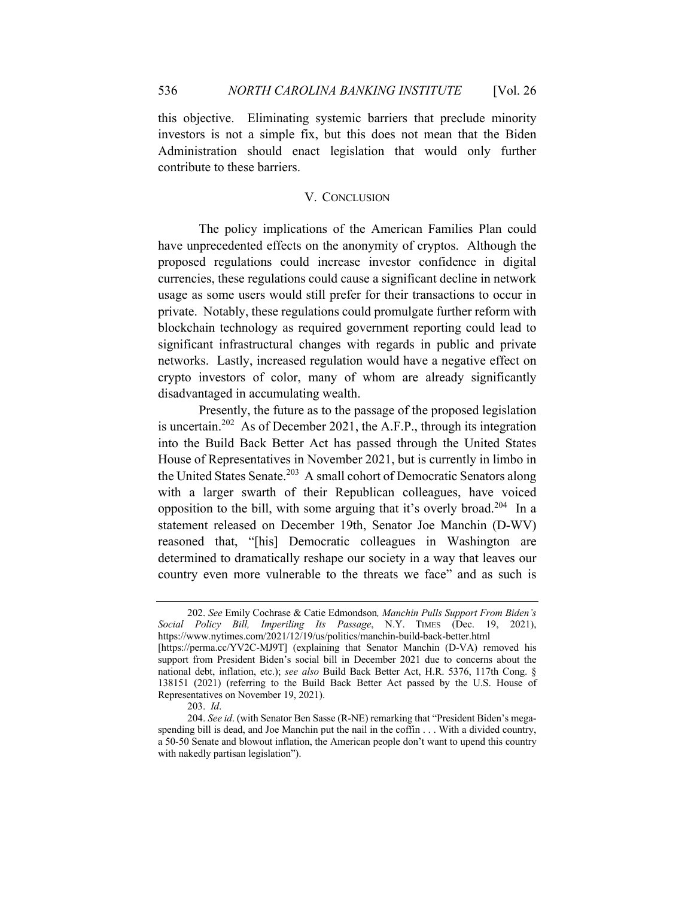this objective. Eliminating systemic barriers that preclude minority investors is not a simple fix, but this does not mean that the Biden Administration should enact legislation that would only further contribute to these barriers.

## V. CONCLUSION

The policy implications of the American Families Plan could have unprecedented effects on the anonymity of cryptos. Although the proposed regulations could increase investor confidence in digital currencies, these regulations could cause a significant decline in network usage as some users would still prefer for their transactions to occur in private. Notably, these regulations could promulgate further reform with blockchain technology as required government reporting could lead to significant infrastructural changes with regards in public and private networks. Lastly, increased regulation would have a negative effect on crypto investors of color, many of whom are already significantly disadvantaged in accumulating wealth.

Presently, the future as to the passage of the proposed legislation is uncertain.<sup>202</sup> As of December 2021, the A.F.P., through its integration into the Build Back Better Act has passed through the United States House of Representatives in November 2021, but is currently in limbo in the United States Senate.<sup>203</sup> A small cohort of Democratic Senators along with a larger swarth of their Republican colleagues, have voiced opposition to the bill, with some arguing that it's overly broad.204 In a statement released on December 19th, Senator Joe Manchin (D-WV) reasoned that, "[his] Democratic colleagues in Washington are determined to dramatically reshape our society in a way that leaves our country even more vulnerable to the threats we face" and as such is

<sup>202.</sup> *See* Emily Cochrase & Catie Edmondson*, Manchin Pulls Support From Biden's Social Policy Bill, Imperiling Its Passage*, N.Y. TIMES (Dec. 19, 2021), https://www.nytimes.com/2021/12/19/us/politics/manchin-build-back-better.html

<sup>[</sup>https://perma.cc/YV2C-MJ9T] (explaining that Senator Manchin (D-VA) removed his support from President Biden's social bill in December 2021 due to concerns about the national debt, inflation, etc.); *see also* Build Back Better Act, H.R. 5376, 117th Cong. § 138151 (2021) (referring to the Build Back Better Act passed by the U.S. House of Representatives on November 19, 2021).

<sup>203.</sup> *Id*.

<sup>204.</sup> *See id*. (with Senator Ben Sasse (R-NE) remarking that "President Biden's megaspending bill is dead, and Joe Manchin put the nail in the coffin . . . With a divided country, a 50-50 Senate and blowout inflation, the American people don't want to upend this country with nakedly partisan legislation").